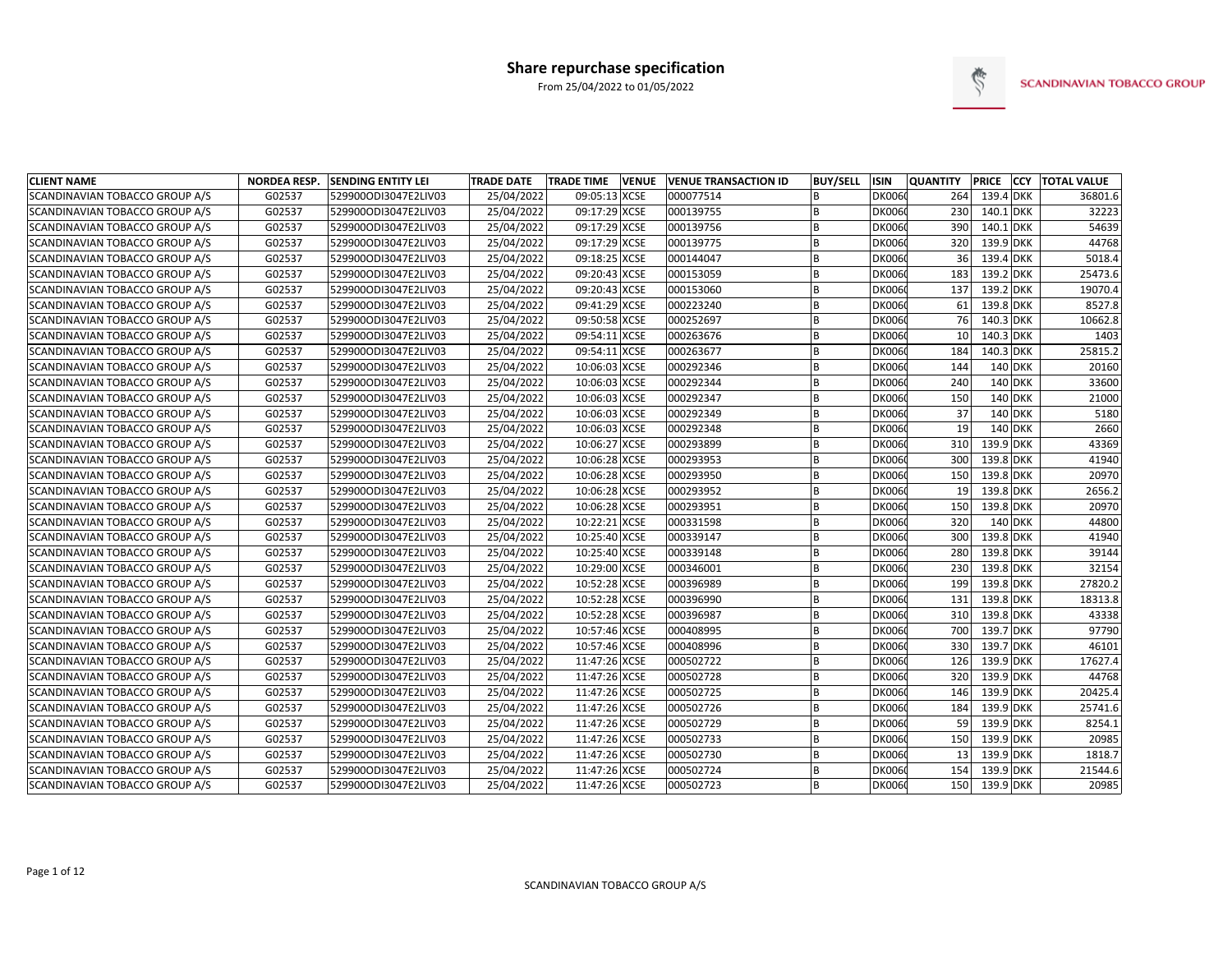

| <b>CLIENT NAME</b>             | <b>NORDEA RESP.</b> | <b>SENDING ENTITY LEI</b> | <b>TRADE DATE</b> | <b>TRADE TIME</b> | <b>VENUE</b> | <b>VENUE TRANSACTION ID</b> | <b>BUY/SELL</b> | ISIN          | <b>QUANTITY</b> | <b>PRICE</b> | <b>CCY TOTAL VALUE</b> |
|--------------------------------|---------------------|---------------------------|-------------------|-------------------|--------------|-----------------------------|-----------------|---------------|-----------------|--------------|------------------------|
| SCANDINAVIAN TOBACCO GROUP A/S | G02537              | 529900ODI3047E2LIV03      | 25/04/2022        | 09:05:13 XCSE     |              | 000077514                   |                 | <b>DK0060</b> | 264             | 139.4 DKK    | 36801.6                |
| SCANDINAVIAN TOBACCO GROUP A/S | G02537              | 529900ODI3047E2LIV03      | 25/04/2022        | 09:17:29 XCSE     |              | 000139755                   | <b>B</b>        | <b>DK0060</b> | 230             | 140.1 DKK    | 32223                  |
| SCANDINAVIAN TOBACCO GROUP A/S | G02537              | 529900ODI3047E2LIV03      | 25/04/2022        | 09:17:29 XCSE     |              | 000139756                   | B               | <b>DK006</b>  | 390             | 140.1 DKK    | 54639                  |
| SCANDINAVIAN TOBACCO GROUP A/S | G02537              | 529900ODI3047E2LIV03      | 25/04/2022        | 09:17:29 XCSE     |              | 000139775                   |                 | <b>DK006</b>  | 320             | 139.9 DKK    | 44768                  |
| SCANDINAVIAN TOBACCO GROUP A/S | G02537              | 529900ODI3047E2LIV03      | 25/04/2022        | 09:18:25 XCSE     |              | 000144047                   | B               | <b>DK006</b>  | 36              | 139.4 DKK    | 5018.4                 |
| SCANDINAVIAN TOBACCO GROUP A/S | G02537              | 529900ODI3047E2LIV03      | 25/04/2022        | 09:20:43 XCSE     |              | 000153059                   |                 | <b>DK006</b>  | 183             | 139.2 DKK    | 25473.6                |
| SCANDINAVIAN TOBACCO GROUP A/S | G02537              | 529900ODI3047E2LIV03      | 25/04/2022        | 09:20:43 XCSE     |              | 000153060                   | <b>B</b>        | <b>DK006</b>  | 137             | 139.2 DKK    | 19070.4                |
| SCANDINAVIAN TOBACCO GROUP A/S | G02537              | 529900ODI3047E2LIV03      | 25/04/2022        | 09:41:29 XCSE     |              | 000223240                   | <b>B</b>        | <b>DK006</b>  | 61              | 139.8 DKK    | 8527.8                 |
| SCANDINAVIAN TOBACCO GROUP A/S | G02537              | 529900ODI3047E2LIV03      | 25/04/2022        | 09:50:58 XCSE     |              | 000252697                   | <b>B</b>        | <b>DK006</b>  | 76              | 140.3 DKK    | 10662.8                |
| SCANDINAVIAN TOBACCO GROUP A/S | G02537              | 529900ODI3047E2LIV03      | 25/04/2022        | 09:54:11 XCSE     |              | 000263676                   |                 | <b>DK006</b>  | 10              | 140.3 DKK    | 1403                   |
| SCANDINAVIAN TOBACCO GROUP A/S | G02537              | 529900ODI3047E2LIV03      | 25/04/2022        | 09:54:11 XCSE     |              | 000263677                   |                 | <b>DK006</b>  | 184             | 140.3 DKK    | 25815.2                |
| SCANDINAVIAN TOBACCO GROUP A/S | G02537              | 529900ODI3047E2LIV03      | 25/04/2022        | 10:06:03 XCSE     |              | 000292346                   | B               | <b>DK006</b>  | 144             | 140 DKK      | 20160                  |
| SCANDINAVIAN TOBACCO GROUP A/S | G02537              | 529900ODI3047E2LIV03      | 25/04/2022        | 10:06:03 XCSE     |              | 000292344                   | <b>B</b>        | <b>DK006</b>  | 240             | 140 DKK      | 33600                  |
| SCANDINAVIAN TOBACCO GROUP A/S | G02537              | 529900ODI3047E2LIV03      | 25/04/2022        | 10:06:03 XCSE     |              | 000292347                   | B               | <b>DK006</b>  | 150             | 140 DKK      | 21000                  |
| SCANDINAVIAN TOBACCO GROUP A/S | G02537              | 529900ODI3047E2LIV03      | 25/04/2022        | 10:06:03 XCSE     |              | 000292349                   | <sub>B</sub>    | <b>DK006</b>  | 37              | 140 DKK      | 5180                   |
| SCANDINAVIAN TOBACCO GROUP A/S | G02537              | 529900ODI3047E2LIV03      | 25/04/2022        | 10:06:03 XCSE     |              | 000292348                   | <sub>B</sub>    | <b>DK006</b>  | 19              | 140 DKK      | 2660                   |
| SCANDINAVIAN TOBACCO GROUP A/S | G02537              | 529900ODI3047E2LIV03      | 25/04/2022        | 10:06:27 XCSE     |              | 000293899                   | <b>B</b>        | <b>DK006</b>  | 310             | 139.9 DKK    | 43369                  |
| SCANDINAVIAN TOBACCO GROUP A/S | G02537              | 529900ODI3047E2LIV03      | 25/04/2022        | 10:06:28 XCSE     |              | 000293953                   | <b>B</b>        | <b>DK006</b>  | 300             | 139.8 DKK    | 41940                  |
| SCANDINAVIAN TOBACCO GROUP A/S | G02537              | 529900ODI3047E2LIV03      | 25/04/2022        | 10:06:28 XCSE     |              | 000293950                   | <sub>B</sub>    | <b>DK006</b>  | 150             | 139.8 DKK    | 20970                  |
| SCANDINAVIAN TOBACCO GROUP A/S | G02537              | 529900ODI3047E2LIV03      | 25/04/2022        | 10:06:28 XCSE     |              | 000293952                   |                 | <b>DK006</b>  | 19              | 139.8 DKK    | 2656.2                 |
| SCANDINAVIAN TOBACCO GROUP A/S | G02537              | 529900ODI3047E2LIV03      | 25/04/2022        | 10:06:28 XCSE     |              | 000293951                   |                 | <b>DK006</b>  | 150             | 139.8 DKK    | 20970                  |
| SCANDINAVIAN TOBACCO GROUP A/S | G02537              | 529900ODI3047E2LIV03      | 25/04/2022        | 10:22:21 XCSE     |              | 000331598                   | <b>B</b>        | <b>DK006</b>  | 320             | 140 DKK      | 44800                  |
| SCANDINAVIAN TOBACCO GROUP A/S | G02537              | 529900ODI3047E2LIV03      | 25/04/2022        | 10:25:40 XCSE     |              | 000339147                   |                 | <b>DK006</b>  | 300             | 139.8 DKK    | 41940                  |
| SCANDINAVIAN TOBACCO GROUP A/S | G02537              | 529900ODI3047E2LIV03      | 25/04/2022        | 10:25:40 XCSE     |              | 000339148                   |                 | <b>DK006</b>  | 280             | 139.8 DKK    | 39144                  |
| SCANDINAVIAN TOBACCO GROUP A/S | G02537              | 529900ODI3047E2LIV03      | 25/04/2022        | 10:29:00 XCSE     |              | 000346001                   | <sub>B</sub>    | <b>DK006</b>  | 230             | 139.8 DKK    | 32154                  |
| SCANDINAVIAN TOBACCO GROUP A/S | G02537              | 529900ODI3047E2LIV03      | 25/04/2022        | 10:52:28 XCSE     |              | 000396989                   |                 | <b>DK006</b>  | 199             | 139.8 DKK    | 27820.2                |
| SCANDINAVIAN TOBACCO GROUP A/S | G02537              | 529900ODI3047E2LIV03      | 25/04/2022        | 10:52:28 XCSE     |              | 000396990                   | <b>B</b>        | <b>DK006</b>  | 131             | 139.8 DKK    | 18313.8                |
| SCANDINAVIAN TOBACCO GROUP A/S | G02537              | 529900ODI3047E2LIV03      | 25/04/2022        | 10:52:28 XCSE     |              | 000396987                   | B               | <b>DK006</b>  | 310             | 139.8 DKK    | 43338                  |
| SCANDINAVIAN TOBACCO GROUP A/S | G02537              | 529900ODI3047E2LIV03      | 25/04/2022        | 10:57:46 XCSE     |              | 000408995                   | <b>B</b>        | <b>DK006</b>  | 700             | 139.7 DKK    | 97790                  |
| SCANDINAVIAN TOBACCO GROUP A/S | G02537              | 529900ODI3047E2LIV03      | 25/04/2022        | 10:57:46 XCSE     |              | 000408996                   | B               | <b>DK006</b>  | 330             | 139.7 DKK    | 46101                  |
| SCANDINAVIAN TOBACCO GROUP A/S | G02537              | 529900ODI3047E2LIV03      | 25/04/2022        | 11:47:26 XCSE     |              | 000502722                   | <b>B</b>        | <b>DK006</b>  | 126             | 139.9 DKK    | 17627.4                |
| SCANDINAVIAN TOBACCO GROUP A/S | G02537              | 529900ODI3047E2LIV03      | 25/04/2022        | 11:47:26 XCSE     |              | 000502728                   | <sub>B</sub>    | <b>DK006</b>  | 320             | 139.9 DKK    | 44768                  |
| SCANDINAVIAN TOBACCO GROUP A/S | G02537              | 529900ODI3047E2LIV03      | 25/04/2022        | 11:47:26 XCSE     |              | 000502725                   | <b>B</b>        | <b>DK006</b>  | 146             | 139.9 DKK    | 20425.4                |
| SCANDINAVIAN TOBACCO GROUP A/S | G02537              | 529900ODI3047E2LIV03      | 25/04/2022        | 11:47:26 XCSE     |              | 000502726                   | B               | <b>DK006</b>  | 184             | 139.9 DKK    | 25741.6                |
| SCANDINAVIAN TOBACCO GROUP A/S | G02537              | 529900ODI3047E2LIV03      | 25/04/2022        | 11:47:26 XCSE     |              | 000502729                   | <b>B</b>        | <b>DK006</b>  | 59              | 139.9 DKK    | 8254.1                 |
| SCANDINAVIAN TOBACCO GROUP A/S | G02537              | 529900ODI3047E2LIV03      | 25/04/2022        | 11:47:26 XCSE     |              | 000502733                   |                 | <b>DK006</b>  | 150             | 139.9 DKK    | 20985                  |
| SCANDINAVIAN TOBACCO GROUP A/S | G02537              | 529900ODI3047E2LIV03      | 25/04/2022        | 11:47:26 XCSE     |              | 000502730                   |                 | <b>DK006</b>  | 13              | 139.9 DKK    | 1818.7                 |
| SCANDINAVIAN TOBACCO GROUP A/S | G02537              | 529900ODI3047E2LIV03      | 25/04/2022        | 11:47:26 XCSE     |              | 000502724                   | <b>B</b>        | <b>DK006</b>  | 154             | 139.9 DKK    | 21544.6                |
| SCANDINAVIAN TOBACCO GROUP A/S | G02537              | 529900ODI3047E2LIV03      | 25/04/2022        | 11:47:26 XCSE     |              | 000502723                   |                 | <b>DK0060</b> | <b>150</b>      | 139.9 DKK    | 20985                  |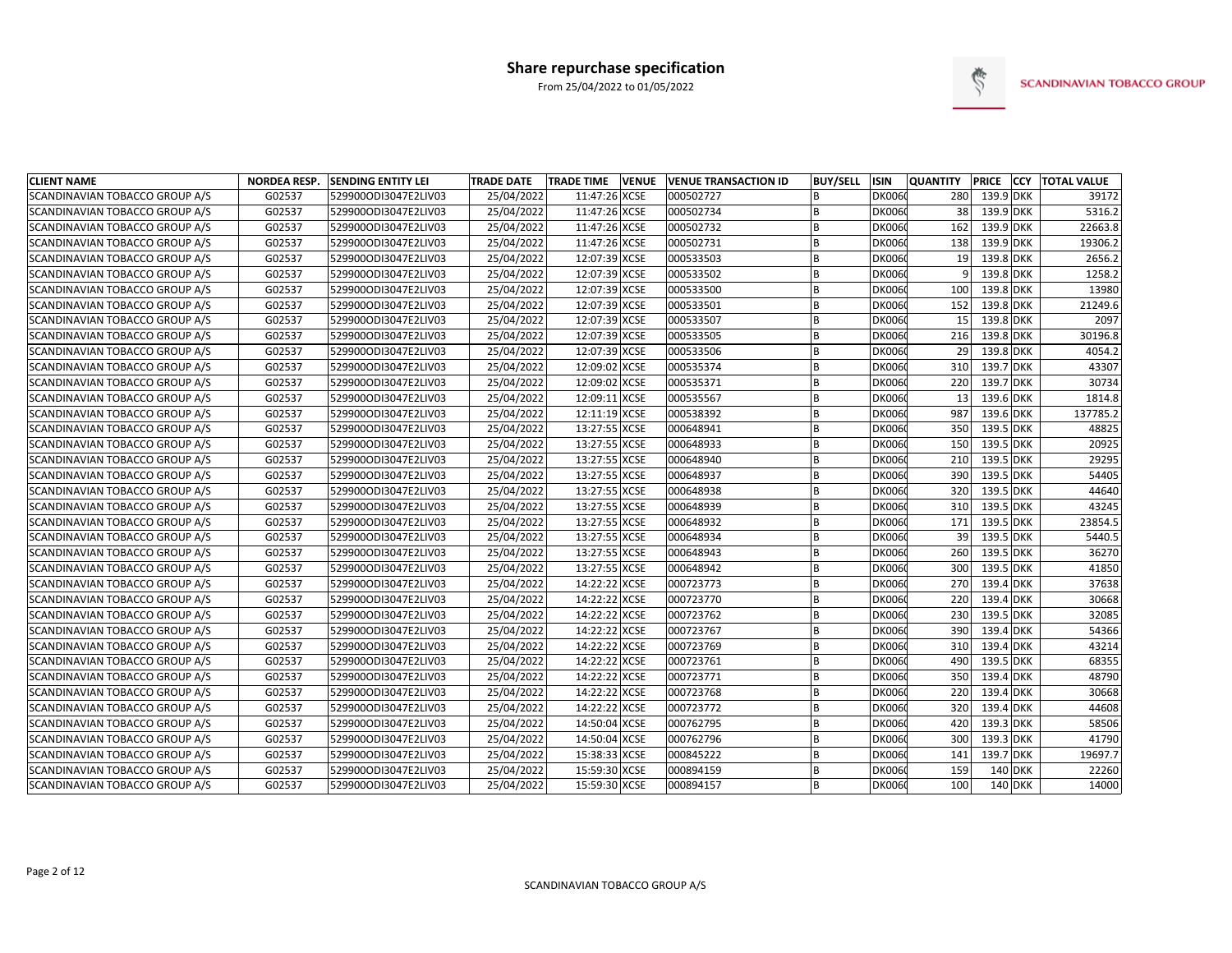

| <b>CLIENT NAME</b>             | <b>NORDEA RESP.</b> | <b>SENDING ENTITY LEI</b> | <b>TRADE DATE</b> | <b>TRADE TIME</b> | <b>VENUE</b> | <b>VENUE TRANSACTION ID</b> | <b>BUY/SELL</b> | ISIN          | <b>QUANTITY</b> |           | PRICE CCY TOTAL VALUE |
|--------------------------------|---------------------|---------------------------|-------------------|-------------------|--------------|-----------------------------|-----------------|---------------|-----------------|-----------|-----------------------|
| SCANDINAVIAN TOBACCO GROUP A/S | G02537              | 529900ODI3047E2LIV03      | 25/04/2022        | 11:47:26 XCSE     |              | 000502727                   |                 | <b>DK0060</b> | 280             | 139.9 DKK | 39172                 |
| SCANDINAVIAN TOBACCO GROUP A/S | G02537              | 529900ODI3047E2LIV03      | 25/04/2022        | 11:47:26 XCSE     |              | 000502734                   | <b>B</b>        | <b>DK0060</b> | 38              | 139.9 DKK | 5316.2                |
| SCANDINAVIAN TOBACCO GROUP A/S | G02537              | 529900ODI3047E2LIV03      | 25/04/2022        | 11:47:26 XCSE     |              | 000502732                   | B               | <b>DK006</b>  | 162             | 139.9 DKK | 22663.8               |
| SCANDINAVIAN TOBACCO GROUP A/S | G02537              | 529900ODI3047E2LIV03      | 25/04/2022        | 11:47:26 XCSE     |              | 000502731                   | B               | <b>DK006</b>  | 138             | 139.9 DKK | 19306.2               |
| SCANDINAVIAN TOBACCO GROUP A/S | G02537              | 529900ODI3047E2LIV03      | 25/04/2022        | 12:07:39 XCSE     |              | 000533503                   | B               | <b>DK006</b>  | 19              | 139.8 DKK | 2656.2                |
| SCANDINAVIAN TOBACCO GROUP A/S | G02537              | 529900ODI3047E2LIV03      | 25/04/2022        | 12:07:39 XCSE     |              | 000533502                   |                 | <b>DK006</b>  |                 | 139.8 DKK | 1258.2                |
| SCANDINAVIAN TOBACCO GROUP A/S | G02537              | 529900ODI3047E2LIV03      | 25/04/2022        | 12:07:39 XCSE     |              | 000533500                   |                 | <b>DK006</b>  | 100             | 139.8 DKK | 13980                 |
| SCANDINAVIAN TOBACCO GROUP A/S | G02537              | 529900ODI3047E2LIV03      | 25/04/2022        | 12:07:39 XCSE     |              | 000533501                   | <b>B</b>        | <b>DK006</b>  | 152             | 139.8 DKK | 21249.6               |
| SCANDINAVIAN TOBACCO GROUP A/S | G02537              | 529900ODI3047E2LIV03      | 25/04/2022        | 12:07:39 XCSE     |              | 000533507                   | <b>B</b>        | <b>DK006</b>  | 15              | 139.8 DKK | 2097                  |
| SCANDINAVIAN TOBACCO GROUP A/S | G02537              | 529900ODI3047E2LIV03      | 25/04/2022        | 12:07:39 XCSE     |              | 000533505                   |                 | <b>DK006</b>  | 216             | 139.8 DKK | 30196.8               |
| SCANDINAVIAN TOBACCO GROUP A/S | G02537              | 529900ODI3047E2LIV03      | 25/04/2022        | 12:07:39 XCSE     |              | 000533506                   | <b>B</b>        | <b>DK006</b>  | 29              | 139.8 DKK | 4054.2                |
| SCANDINAVIAN TOBACCO GROUP A/S | G02537              | 529900ODI3047E2LIV03      | 25/04/2022        | 12:09:02 XCSE     |              | 000535374                   | B               | <b>DK006</b>  | 310             | 139.7 DKK | 43307                 |
| SCANDINAVIAN TOBACCO GROUP A/S | G02537              | 529900ODI3047E2LIV03      | 25/04/2022        | 12:09:02 XCSE     |              | 000535371                   | <b>B</b>        | <b>DK006</b>  | 220             | 139.7 DKK | 30734                 |
| SCANDINAVIAN TOBACCO GROUP A/S | G02537              | 529900ODI3047E2LIV03      | 25/04/2022        | 12:09:11 XCSE     |              | 000535567                   | B               | <b>DK006</b>  | 13              | 139.6 DKK | 1814.8                |
| SCANDINAVIAN TOBACCO GROUP A/S | G02537              | 529900ODI3047E2LIV03      | 25/04/2022        | 12:11:19 XCSE     |              | 000538392                   | <b>B</b>        | <b>DK006</b>  | 987             | 139.6 DKK | 137785.2              |
| SCANDINAVIAN TOBACCO GROUP A/S | G02537              | 529900ODI3047E2LIV03      | 25/04/2022        | 13:27:55 XCSE     |              | 000648941                   | <sub>B</sub>    | <b>DK006</b>  | 350             | 139.5 DKK | 48825                 |
| SCANDINAVIAN TOBACCO GROUP A/S | G02537              | 529900ODI3047E2LIV03      | 25/04/2022        | 13:27:55 XCSE     |              | 000648933                   | B               | <b>DK006</b>  | 150             | 139.5 DKK | 20925                 |
| SCANDINAVIAN TOBACCO GROUP A/S | G02537              | 529900ODI3047E2LIV03      | 25/04/2022        | 13:27:55 XCSE     |              | 000648940                   | <b>B</b>        | <b>DK006</b>  | 210             | 139.5 DKK | 29295                 |
| SCANDINAVIAN TOBACCO GROUP A/S | G02537              | 529900ODI3047E2LIV03      | 25/04/2022        | 13:27:55 XCSE     |              | 000648937                   | B               | <b>DK006</b>  | 390             | 139.5 DKK | 54405                 |
| SCANDINAVIAN TOBACCO GROUP A/S | G02537              | 529900ODI3047E2LIV03      | 25/04/2022        | 13:27:55 XCSE     |              | 000648938                   |                 | <b>DK006</b>  | 320             | 139.5 DKK | 44640                 |
| SCANDINAVIAN TOBACCO GROUP A/S | G02537              | 529900ODI3047E2LIV03      | 25/04/2022        | 13:27:55 XCSE     |              | 000648939                   | B               | <b>DK006</b>  | 310             | 139.5 DKK | 43245                 |
| SCANDINAVIAN TOBACCO GROUP A/S | G02537              | 529900ODI3047E2LIV03      | 25/04/2022        | 13:27:55 XCSE     |              | 000648932                   | <b>B</b>        | <b>DK006</b>  | 171             | 139.5 DKK | 23854.5               |
| SCANDINAVIAN TOBACCO GROUP A/S | G02537              | 529900ODI3047E2LIV03      | 25/04/2022        | 13:27:55 XCSE     |              | 000648934                   |                 | <b>DK006</b>  | 39              | 139.5 DKK | 5440.5                |
| SCANDINAVIAN TOBACCO GROUP A/S | G02537              | 529900ODI3047E2LIV03      | 25/04/2022        | 13:27:55 XCSE     |              | 000648943                   |                 | <b>DK006</b>  | 260             | 139.5 DKK | 36270                 |
| SCANDINAVIAN TOBACCO GROUP A/S | G02537              | 529900ODI3047E2LIV03      | 25/04/2022        | 13:27:55 XCSE     |              | 000648942                   | <b>B</b>        | <b>DK006</b>  | 300             | 139.5 DKK | 41850                 |
| SCANDINAVIAN TOBACCO GROUP A/S | G02537              | 529900ODI3047E2LIV03      | 25/04/2022        | 14:22:22 XCSE     |              | 000723773                   |                 | <b>DK006</b>  | 270             | 139.4 DKK | 37638                 |
| SCANDINAVIAN TOBACCO GROUP A/S | G02537              | 529900ODI3047E2LIV03      | 25/04/2022        | 14:22:22 XCSE     |              | 000723770                   | <b>B</b>        | <b>DK006</b>  | 220             | 139.4 DKK | 30668                 |
| SCANDINAVIAN TOBACCO GROUP A/S | G02537              | 529900ODI3047E2LIV03      | 25/04/2022        | 14:22:22 XCSE     |              | 000723762                   | B               | <b>DK006</b>  | 230             | 139.5 DKK | 32085                 |
| SCANDINAVIAN TOBACCO GROUP A/S | G02537              | 529900ODI3047E2LIV03      | 25/04/2022        | 14:22:22 XCSE     |              | 000723767                   | <b>B</b>        | <b>DK006</b>  | 390             | 139.4 DKK | 54366                 |
| SCANDINAVIAN TOBACCO GROUP A/S | G02537              | 529900ODI3047E2LIV03      | 25/04/2022        | 14:22:22 XCSE     |              | 000723769                   | B               | <b>DK006</b>  | 310             | 139.4 DKK | 43214                 |
| SCANDINAVIAN TOBACCO GROUP A/S | G02537              | 529900ODI3047E2LIV03      | 25/04/2022        | 14:22:22 XCSE     |              | 000723761                   | <b>B</b>        | <b>DK006</b>  | 490             | 139.5 DKK | 68355                 |
| SCANDINAVIAN TOBACCO GROUP A/S | G02537              | 529900ODI3047E2LIV03      | 25/04/2022        | 14:22:22 XCSE     |              | 000723771                   | <b>B</b>        | <b>DK006</b>  | 350             | 139.4 DKK | 48790                 |
| SCANDINAVIAN TOBACCO GROUP A/S | G02537              | 529900ODI3047E2LIV03      | 25/04/2022        | 14:22:22 XCSE     |              | 000723768                   | <b>B</b>        | <b>DK006</b>  | 220             | 139.4 DKK | 30668                 |
| SCANDINAVIAN TOBACCO GROUP A/S | G02537              | 529900ODI3047E2LIV03      | 25/04/2022        | 14:22:22 XCSE     |              | 000723772                   | B               | <b>DK006</b>  | 320             | 139.4 DKK | 44608                 |
| SCANDINAVIAN TOBACCO GROUP A/S | G02537              | 529900ODI3047E2LIV03      | 25/04/2022        | 14:50:04 XCSE     |              | 000762795                   | B               | <b>DK006</b>  | 420             | 139.3 DKK | 58506                 |
| SCANDINAVIAN TOBACCO GROUP A/S | G02537              | 529900ODI3047E2LIV03      | 25/04/2022        | 14:50:04 XCSE     |              | 000762796                   |                 | <b>DK006</b>  | 300             | 139.3 DKK | 41790                 |
| SCANDINAVIAN TOBACCO GROUP A/S | G02537              | 529900ODI3047E2LIV03      | 25/04/2022        | 15:38:33 XCSE     |              | 000845222                   |                 | <b>DK006</b>  | 141             | 139.7 DKK | 19697.7               |
| SCANDINAVIAN TOBACCO GROUP A/S | G02537              | 529900ODI3047E2LIV03      | 25/04/2022        | 15:59:30 XCSE     |              | 000894159                   | <b>B</b>        | <b>DK006</b>  | 159             | 140 DKK   | 22260                 |
| SCANDINAVIAN TOBACCO GROUP A/S | G02537              | 529900ODI3047E2LIV03      | 25/04/2022        | 15:59:30 XCSE     |              | 000894157                   |                 | <b>DK0060</b> | 100             | 140 DKK   | 14000                 |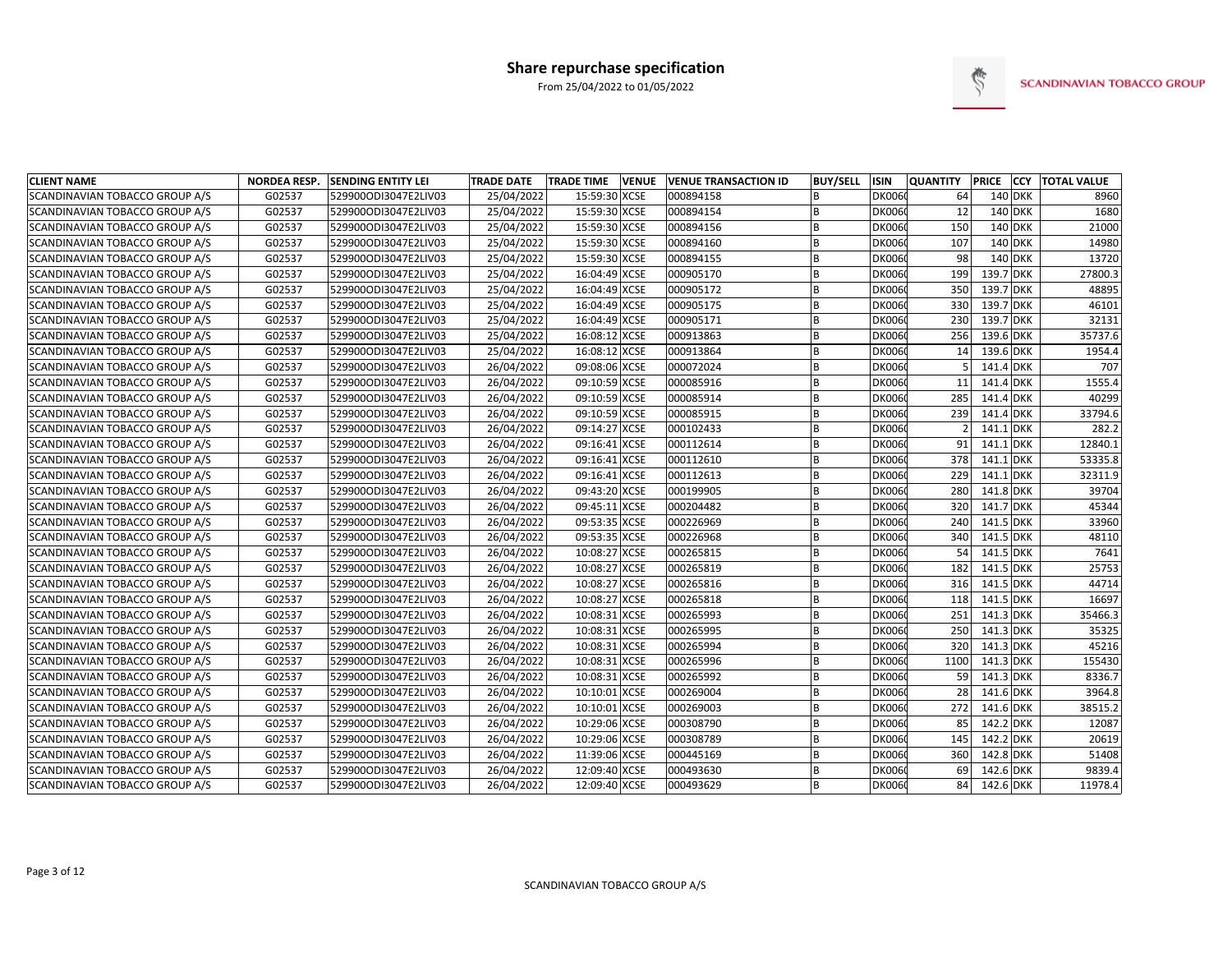

| <b>CLIENT NAME</b>             | <b>NORDEA RESP.</b> | <b>SENDING ENTITY LEI</b> | <b>TRADE DATE</b> | <b>TRADE TIME</b> | <b>VENUE</b> | <b>VENUE TRANSACTION ID</b> | <b>BUY/SELL</b> | ISIN          | <b>QUANTITY</b> |           | PRICE CCY TOTAL VALUE |
|--------------------------------|---------------------|---------------------------|-------------------|-------------------|--------------|-----------------------------|-----------------|---------------|-----------------|-----------|-----------------------|
| SCANDINAVIAN TOBACCO GROUP A/S | G02537              | 529900ODI3047E2LIV03      | 25/04/2022        | 15:59:30 XCSE     |              | 000894158                   |                 | <b>DK0060</b> | 64              | 140 DKK   | 8960                  |
| SCANDINAVIAN TOBACCO GROUP A/S | G02537              | 529900ODI3047E2LIV03      | 25/04/2022        | 15:59:30 XCSE     |              | 000894154                   | B               | <b>DK0060</b> | 12              | $140$ DKK | 1680                  |
| SCANDINAVIAN TOBACCO GROUP A/S | G02537              | 529900ODI3047E2LIV03      | 25/04/2022        | 15:59:30 XCSE     |              | 000894156                   | B               | <b>DK0060</b> | 150             | 140 DKK   | 21000                 |
| SCANDINAVIAN TOBACCO GROUP A/S | G02537              | 529900ODI3047E2LIV03      | 25/04/2022        | 15:59:30 XCSE     |              | 000894160                   | B               | <b>DK0060</b> | 107             | 140 DKK   | 14980                 |
| SCANDINAVIAN TOBACCO GROUP A/S | G02537              | 529900ODI3047E2LIV03      | 25/04/2022        | 15:59:30 XCSE     |              | 000894155                   | B               | <b>DK0060</b> | 98              | 140 DKK   | 13720                 |
| SCANDINAVIAN TOBACCO GROUP A/S | G02537              | 529900ODI3047E2LIV03      | 25/04/2022        | 16:04:49 XCSE     |              | 000905170                   | <b>B</b>        | <b>DK0060</b> | 199             | 139.7 DKK | 27800.3               |
| SCANDINAVIAN TOBACCO GROUP A/S | G02537              | 529900ODI3047E2LIV03      | 25/04/2022        | 16:04:49 XCSE     |              | 000905172                   | B               | <b>DK0060</b> | 350             | 139.7 DKK | 48895                 |
| SCANDINAVIAN TOBACCO GROUP A/S | G02537              | 529900ODI3047E2LIV03      | 25/04/2022        | 16:04:49 XCSE     |              | 000905175                   | B               | <b>DK0060</b> | 330             | 139.7 DKK | 46101                 |
| SCANDINAVIAN TOBACCO GROUP A/S | G02537              | 529900ODI3047E2LIV03      | 25/04/2022        | 16:04:49 XCSE     |              | 000905171                   | B               | <b>DK0060</b> | 230             | 139.7 DKK | 32131                 |
| SCANDINAVIAN TOBACCO GROUP A/S | G02537              | 529900ODI3047E2LIV03      | 25/04/2022        | 16:08:12 XCSE     |              | 000913863                   | B               | <b>DK0060</b> | 256             | 139.6 DKK | 35737.6               |
| SCANDINAVIAN TOBACCO GROUP A/S | G02537              | 529900ODI3047E2LIV03      | 25/04/2022        | 16:08:12 XCSE     |              | 000913864                   | B               | <b>DK0060</b> | 14              | 139.6 DKK | 1954.4                |
| SCANDINAVIAN TOBACCO GROUP A/S | G02537              | 529900ODI3047E2LIV03      | 26/04/2022        | 09:08:06 XCSE     |              | 000072024                   | B               | <b>DK0060</b> | 5               | 141.4 DKK | 707                   |
| SCANDINAVIAN TOBACCO GROUP A/S | G02537              | 529900ODI3047E2LIV03      | 26/04/2022        | 09:10:59 XCSE     |              | 000085916                   | B               | <b>DK0060</b> | 11              | 141.4 DKK | 1555.4                |
| SCANDINAVIAN TOBACCO GROUP A/S | G02537              | 529900ODI3047E2LIV03      | 26/04/2022        | 09:10:59 XCSE     |              | 000085914                   | B               | <b>DK0060</b> | 285             | 141.4 DKK | 40299                 |
| SCANDINAVIAN TOBACCO GROUP A/S | G02537              | 529900ODI3047E2LIV03      | 26/04/2022        | 09:10:59 XCSE     |              | 000085915                   | B               | <b>DK0060</b> | 239             | 141.4 DKK | 33794.6               |
| SCANDINAVIAN TOBACCO GROUP A/S | G02537              | 529900ODI3047E2LIV03      | 26/04/2022        | 09:14:27 XCSE     |              | 000102433                   | B               | <b>DK0060</b> | $\mathcal{P}$   | 141.1 DKK | 282.2                 |
| SCANDINAVIAN TOBACCO GROUP A/S | G02537              | 529900ODI3047E2LIV03      | 26/04/2022        | 09:16:41 XCSE     |              | 000112614                   | B               | <b>DK0060</b> | 91              | 141.1 DKK | 12840.1               |
| SCANDINAVIAN TOBACCO GROUP A/S | G02537              | 529900ODI3047E2LIV03      | 26/04/2022        | 09:16:41 XCSE     |              | 000112610                   | B               | <b>DK0060</b> | 378             | 141.1 DKK | 53335.8               |
| SCANDINAVIAN TOBACCO GROUP A/S | G02537              | 529900ODI3047E2LIV03      | 26/04/2022        | 09:16:41 XCSE     |              | 000112613                   | B               | <b>DK0060</b> | 229             | 141.1 DKK | 32311.9               |
| SCANDINAVIAN TOBACCO GROUP A/S | G02537              | 529900ODI3047E2LIV03      | 26/04/2022        | 09:43:20 XCSE     |              | 000199905                   | B               | <b>DK0060</b> | 280             | 141.8 DKK | 39704                 |
| SCANDINAVIAN TOBACCO GROUP A/S | G02537              | 529900ODI3047E2LIV03      | 26/04/2022        | 09:45:11 XCSE     |              | 000204482                   | B               | <b>DK0060</b> | 320             | 141.7 DKK | 45344                 |
| SCANDINAVIAN TOBACCO GROUP A/S | G02537              | 529900ODI3047E2LIV03      | 26/04/2022        | 09:53:35 XCSE     |              | 000226969                   |                 | <b>DK0060</b> | 240             | 141.5 DKK | 33960                 |
| SCANDINAVIAN TOBACCO GROUP A/S | G02537              | 529900ODI3047E2LIV03      | 26/04/2022        | 09:53:35 XCSE     |              | 000226968                   |                 | <b>DK0060</b> | 340             | 141.5 DKK | 48110                 |
| SCANDINAVIAN TOBACCO GROUP A/S | G02537              | 529900ODI3047E2LIV03      | 26/04/2022        | 10:08:27 XCSE     |              | 000265815                   |                 | <b>DK0060</b> | 54              | 141.5 DKK | 7641                  |
| SCANDINAVIAN TOBACCO GROUP A/S | G02537              | 529900ODI3047E2LIV03      | 26/04/2022        | 10:08:27 XCSE     |              | 000265819                   | B               | <b>DK0060</b> | 182             | 141.5 DKK | 25753                 |
| SCANDINAVIAN TOBACCO GROUP A/S | G02537              | 529900ODI3047E2LIV03      | 26/04/2022        | 10:08:27 XCSE     |              | 000265816                   | B               | <b>DK0060</b> | 316             | 141.5 DKK | 44714                 |
| SCANDINAVIAN TOBACCO GROUP A/S | G02537              | 529900ODI3047E2LIV03      | 26/04/2022        | 10:08:27 XCSE     |              | 000265818                   | B               | <b>DK0060</b> | 118             | 141.5 DKK | 16697                 |
| SCANDINAVIAN TOBACCO GROUP A/S | G02537              | 529900ODI3047E2LIV03      | 26/04/2022        | 10:08:31 XCSE     |              | 000265993                   | B               | <b>DK0060</b> | 251             | 141.3 DKK | 35466.3               |
| SCANDINAVIAN TOBACCO GROUP A/S | G02537              | 529900ODI3047E2LIV03      | 26/04/2022        | 10:08:31 XCSE     |              | 000265995                   | B               | <b>DK0060</b> | 250             | 141.3 DKK | 35325                 |
| SCANDINAVIAN TOBACCO GROUP A/S | G02537              | 529900ODI3047E2LIV03      | 26/04/2022        | 10:08:31 XCSE     |              | 000265994                   | B               | <b>DK0060</b> | 320             | 141.3 DKK | 45216                 |
| SCANDINAVIAN TOBACCO GROUP A/S | G02537              | 529900ODI3047E2LIV03      | 26/04/2022        | 10:08:31 XCSE     |              | 000265996                   | <sub>B</sub>    | <b>DK0060</b> | 1100            | 141.3 DKK | 155430                |
| SCANDINAVIAN TOBACCO GROUP A/S | G02537              | 529900ODI3047E2LIV03      | 26/04/2022        | 10:08:31 XCSE     |              | 000265992                   | B               | <b>DK0060</b> | 59              | 141.3 DKK | 8336.7                |
| SCANDINAVIAN TOBACCO GROUP A/S | G02537              | 529900ODI3047E2LIV03      | 26/04/2022        | 10:10:01 XCSE     |              | 000269004                   | B               | <b>DK0060</b> | 28              | 141.6 DKK | 3964.8                |
| SCANDINAVIAN TOBACCO GROUP A/S | G02537              | 529900ODI3047E2LIV03      | 26/04/2022        | 10:10:01 XCSE     |              | 000269003                   | B               | <b>DK0060</b> | 272             | 141.6 DKK | 38515.2               |
| SCANDINAVIAN TOBACCO GROUP A/S | G02537              | 529900ODI3047E2LIV03      | 26/04/2022        | 10:29:06 XCSE     |              | 000308790                   | B               | <b>DK0060</b> | 85              | 142.2 DKK | 12087                 |
| SCANDINAVIAN TOBACCO GROUP A/S | G02537              | 529900ODI3047E2LIV03      | 26/04/2022        | 10:29:06 XCSE     |              | 000308789                   | B               | <b>DK0060</b> | 145             | 142.2 DKK | 20619                 |
| SCANDINAVIAN TOBACCO GROUP A/S | G02537              | 529900ODI3047E2LIV03      | 26/04/2022        | 11:39:06 XCSE     |              | 000445169                   | B               | <b>DK0060</b> | 360             | 142.8 DKK | 51408                 |
| SCANDINAVIAN TOBACCO GROUP A/S | G02537              | 529900ODI3047E2LIV03      | 26/04/2022        | 12:09:40 XCSE     |              | 000493630                   | B               | <b>DK0060</b> | 69              | 142.6 DKK | 9839.4                |
| SCANDINAVIAN TOBACCO GROUP A/S | G02537              | 529900ODI3047E2LIV03      | 26/04/2022        | 12:09:40 XCSE     |              | 000493629                   |                 | DK0060        | 84              | 142.6 DKK | 11978.4               |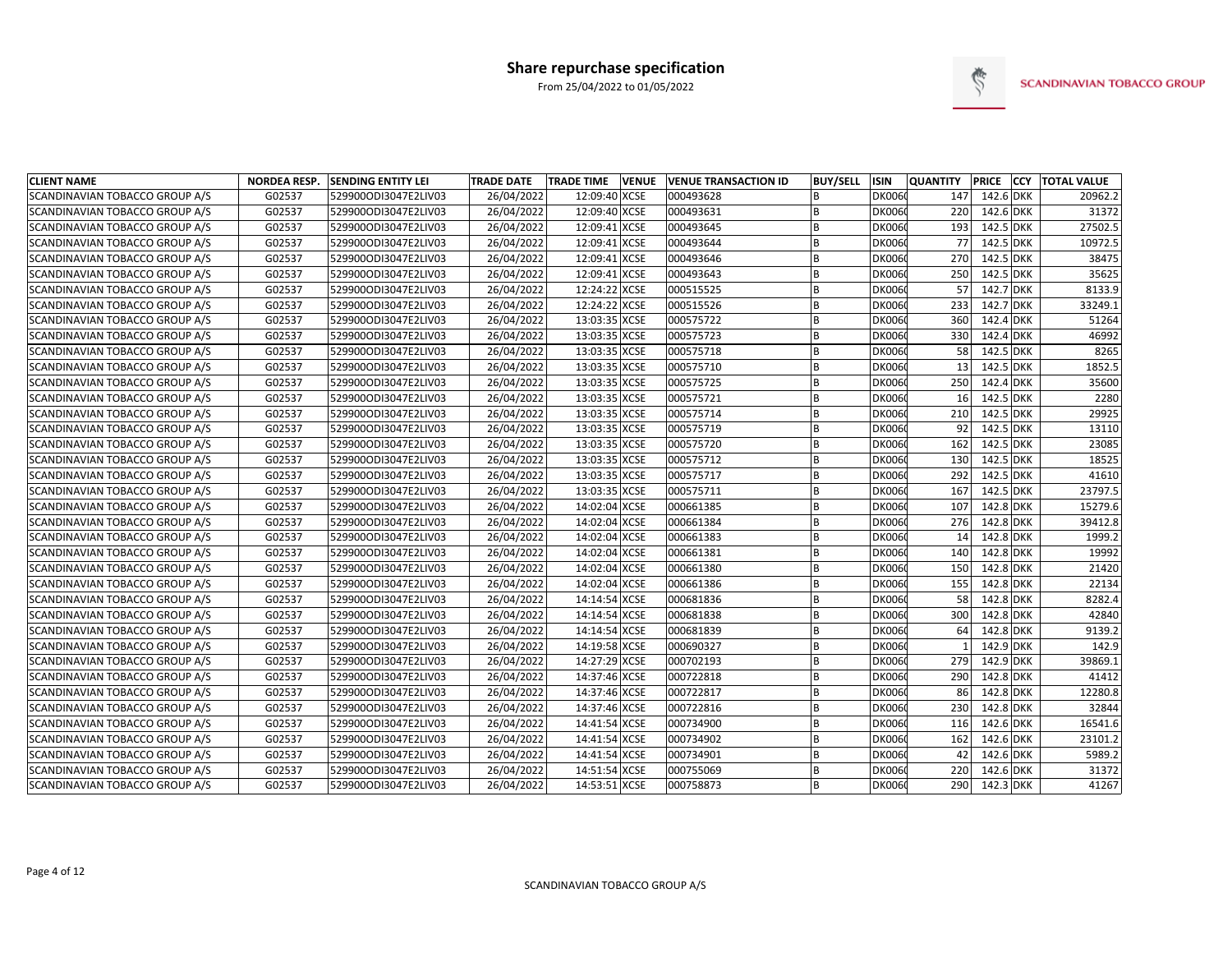

| <b>CLIENT NAME</b>                    | <b>NORDEA RESP.</b> | <b>SENDING ENTITY LEI</b> | <b>TRADE DATE</b> | <b>TRADE TIME</b> | <b>VENUE</b> | <b>VENUE TRANSACTION ID</b> | <b>BUY/SELL</b> | ISIN          | <b>QUANTITY</b> | PRICE     | <b>CCY TOTAL VALUE</b> |
|---------------------------------------|---------------------|---------------------------|-------------------|-------------------|--------------|-----------------------------|-----------------|---------------|-----------------|-----------|------------------------|
| SCANDINAVIAN TOBACCO GROUP A/S        | G02537              | 529900ODI3047E2LIV03      | 26/04/2022        | 12:09:40 XCSE     |              | 000493628                   | <b>B</b>        | <b>DK0060</b> | 147             | 142.6 DKK | 20962.2                |
| SCANDINAVIAN TOBACCO GROUP A/S        | G02537              | 529900ODI3047E2LIV03      | 26/04/2022        | 12:09:40 XCSE     |              | 000493631                   | <b>B</b>        | <b>DK0060</b> | 220             | 142.6 DKK | 31372                  |
| SCANDINAVIAN TOBACCO GROUP A/S        | G02537              | 529900ODI3047E2LIV03      | 26/04/2022        | 12:09:41 XCSE     |              | 000493645                   | B               | <b>DK0060</b> | 193             | 142.5 DKK | 27502.5                |
| SCANDINAVIAN TOBACCO GROUP A/S        | G02537              | 529900ODI3047E2LIV03      | 26/04/2022        | 12:09:41 XCSE     |              | 000493644                   | B               | <b>DK006</b>  | 77              | 142.5 DKK | 10972.5                |
| SCANDINAVIAN TOBACCO GROUP A/S        | G02537              | 529900ODI3047E2LIV03      | 26/04/2022        | 12:09:41 XCSE     |              | 000493646                   | <b>B</b>        | <b>DK006</b>  | 270             | 142.5 DKK | 38475                  |
| SCANDINAVIAN TOBACCO GROUP A/S        | G02537              | 529900ODI3047E2LIV03      | 26/04/2022        | 12:09:41 XCSE     |              | 000493643                   |                 | <b>DK006</b>  | 250             | 142.5 DKK | 35625                  |
| SCANDINAVIAN TOBACCO GROUP A/S        | G02537              | 529900ODI3047E2LIV03      | 26/04/2022        | 12:24:22 XCSE     |              | 000515525                   |                 | <b>DK006</b>  | 57              | 142.7 DKK | 8133.9                 |
| <b>SCANDINAVIAN TOBACCO GROUP A/S</b> | G02537              | 529900ODI3047E2LIV03      | 26/04/2022        | 12:24:22 XCSE     |              | 000515526                   | <b>R</b>        | <b>DK006</b>  | 233             | 142.7 DKK | 33249.1                |
| SCANDINAVIAN TOBACCO GROUP A/S        | G02537              | 529900ODI3047E2LIV03      | 26/04/2022        | 13:03:35 XCSE     |              | 000575722                   | B               | <b>DK006</b>  | 360             | 142.4 DKK | 51264                  |
| <b>SCANDINAVIAN TOBACCO GROUP A/S</b> | G02537              | 529900ODI3047E2LIV03      | 26/04/2022        | 13:03:35 XCSE     |              | 000575723                   |                 | <b>DK006</b>  | 330             | 142.4 DKK | 46992                  |
| SCANDINAVIAN TOBACCO GROUP A/S        | G02537              | 529900ODI3047E2LIV03      | 26/04/2022        | 13:03:35 XCSE     |              | 000575718                   | <b>B</b>        | <b>DK006</b>  | 58              | 142.5 DKK | 8265                   |
| SCANDINAVIAN TOBACCO GROUP A/S        | G02537              | 529900ODI3047E2LIV03      | 26/04/2022        | 13:03:35 XCSE     |              | 000575710                   | <b>B</b>        | <b>DK006</b>  | 13              | 142.5 DKK | 1852.5                 |
| SCANDINAVIAN TOBACCO GROUP A/S        | G02537              | 529900ODI3047E2LIV03      | 26/04/2022        | 13:03:35 XCSE     |              | 000575725                   | <b>B</b>        | <b>DK006</b>  | 250             | 142.4 DKK | 35600                  |
| SCANDINAVIAN TOBACCO GROUP A/S        | G02537              | 529900ODI3047E2LIV03      | 26/04/2022        | 13:03:35 XCSE     |              | 000575721                   | B               | <b>DK006</b>  | 16              | 142.5 DKK | 2280                   |
| SCANDINAVIAN TOBACCO GROUP A/S        | G02537              | 529900ODI3047E2LIV03      | 26/04/2022        | 13:03:35 XCSE     |              | 000575714                   |                 | <b>DK006</b>  | 210             | 142.5 DKK | 29925                  |
| SCANDINAVIAN TOBACCO GROUP A/S        | G02537              | 529900ODI3047E2LIV03      | 26/04/2022        | 13:03:35 XCSE     |              | 000575719                   | <b>B</b>        | <b>DK006</b>  | 92              | 142.5 DKK | 13110                  |
| SCANDINAVIAN TOBACCO GROUP A/S        | G02537              | 529900ODI3047E2LIV03      | 26/04/2022        | 13:03:35 XCSE     |              | 000575720                   | B               | <b>DK006</b>  | 162             | 142.5 DKK | 23085                  |
| SCANDINAVIAN TOBACCO GROUP A/S        | G02537              | 529900ODI3047E2LIV03      | 26/04/2022        | 13:03:35 XCSE     |              | 000575712                   | <b>B</b>        | <b>DK006</b>  | 130             | 142.5 DKK | 18525                  |
| SCANDINAVIAN TOBACCO GROUP A/S        | G02537              | 529900ODI3047E2LIV03      | 26/04/2022        | 13:03:35 XCSE     |              | 000575717                   | <b>B</b>        | <b>DK006</b>  | 292             | 142.5 DKK | 41610                  |
| SCANDINAVIAN TOBACCO GROUP A/S        | G02537              | 529900ODI3047E2LIV03      | 26/04/2022        | 13:03:35 XCSE     |              | 000575711                   | <b>B</b>        | <b>DK006</b>  | 167             | 142.5 DKK | 23797.5                |
| SCANDINAVIAN TOBACCO GROUP A/S        | G02537              | 529900ODI3047E2LIV03      | 26/04/2022        | 14:02:04 XCSE     |              | 000661385                   |                 | <b>DK006</b>  | 107             | 142.8 DKK | 15279.6                |
| SCANDINAVIAN TOBACCO GROUP A/S        | G02537              | 529900ODI3047E2LIV03      | 26/04/2022        | 14:02:04 XCSE     |              | 000661384                   |                 | <b>DK006</b>  | 276             | 142.8 DKK | 39412.8                |
| SCANDINAVIAN TOBACCO GROUP A/S        | G02537              | 529900ODI3047E2LIV03      | 26/04/2022        | 14:02:04 XCSE     |              | 000661383                   |                 | <b>DK006</b>  | 14              | 142.8 DKK | 1999.2                 |
| SCANDINAVIAN TOBACCO GROUP A/S        | G02537              | 529900ODI3047E2LIV03      | 26/04/2022        | 14:02:04 XCSE     |              | 000661381                   | <b>R</b>        | <b>DK006</b>  | 140             | 142.8 DKK | 19992                  |
| SCANDINAVIAN TOBACCO GROUP A/S        | G02537              | 529900ODI3047E2LIV03      | 26/04/2022        | 14:02:04 XCSE     |              | 000661380                   | B               | <b>DK006</b>  | 150             | 142.8 DKK | 21420                  |
| SCANDINAVIAN TOBACCO GROUP A/S        | G02537              | 529900ODI3047E2LIV03      | 26/04/2022        | 14:02:04 XCSE     |              | 000661386                   | B               | <b>DK006</b>  | 155             | 142.8 DKK | 22134                  |
| SCANDINAVIAN TOBACCO GROUP A/S        | G02537              | 529900ODI3047E2LIV03      | 26/04/2022        | 14:14:54 XCSE     |              | 000681836                   | <b>B</b>        | <b>DK006</b>  | 58              | 142.8 DKK | 8282.4                 |
| SCANDINAVIAN TOBACCO GROUP A/S        | G02537              | 529900ODI3047E2LIV03      | 26/04/2022        | 14:14:54 XCSE     |              | 000681838                   | <b>B</b>        | <b>DK006</b>  | 300             | 142.8 DKK | 42840                  |
| SCANDINAVIAN TOBACCO GROUP A/S        | G02537              | 529900ODI3047E2LIV03      | 26/04/2022        | 14:14:54 XCSE     |              | 000681839                   |                 | <b>DK006</b>  | 64              | 142.8 DKK | 9139.2                 |
| SCANDINAVIAN TOBACCO GROUP A/S        | G02537              | 529900ODI3047E2LIV03      | 26/04/2022        | 14:19:58 XCSE     |              | 000690327                   |                 | <b>DK006</b>  |                 | 142.9 DKK | 142.9                  |
| SCANDINAVIAN TOBACCO GROUP A/S        | G02537              | 529900ODI3047E2LIV03      | 26/04/2022        | 14:27:29 XCSE     |              | 000702193                   |                 | <b>DK006</b>  | 279             | 142.9 DKK | 39869.1                |
| <b>SCANDINAVIAN TOBACCO GROUP A/S</b> | G02537              | 529900ODI3047E2LIV03      | 26/04/2022        | 14:37:46 XCSE     |              | 000722818                   | <b>B</b>        | <b>DK006</b>  | 290             | 142.8 DKK | 41412                  |
| SCANDINAVIAN TOBACCO GROUP A/S        | G02537              | 529900ODI3047E2LIV03      | 26/04/2022        | 14:37:46 XCSE     |              | 000722817                   | <b>B</b>        | <b>DK006</b>  | 86              | 142.8 DKK | 12280.8                |
| SCANDINAVIAN TOBACCO GROUP A/S        | G02537              | 529900ODI3047E2LIV03      | 26/04/2022        | 14:37:46 XCSE     |              | 000722816                   | B               | <b>DK006</b>  | 230             | 142.8 DKK | 32844                  |
| SCANDINAVIAN TOBACCO GROUP A/S        | G02537              | 529900ODI3047E2LIV03      | 26/04/2022        | 14:41:54 XCSE     |              | 000734900                   | <b>B</b>        | <b>DK006</b>  | 116             | 142.6 DKK | 16541.6                |
| SCANDINAVIAN TOBACCO GROUP A/S        | G02537              | 529900ODI3047E2LIV03      | 26/04/2022        | 14:41:54 XCSE     |              | 000734902                   | <b>B</b>        | <b>DK006</b>  | 162             | 142.6 DKK | 23101.2                |
| SCANDINAVIAN TOBACCO GROUP A/S        | G02537              | 529900ODI3047E2LIV03      | 26/04/2022        | 14:41:54 XCSE     |              | 000734901                   |                 | <b>DK006</b>  | 42              | 142.6 DKK | 5989.2                 |
| SCANDINAVIAN TOBACCO GROUP A/S        | G02537              | 529900ODI3047E2LIV03      | 26/04/2022        | 14:51:54 XCSE     |              | 000755069                   |                 | <b>DK006</b>  | 220             | 142.6 DKK | 31372                  |
| SCANDINAVIAN TOBACCO GROUP A/S        | G02537              | 529900ODI3047E2LIV03      | 26/04/2022        | 14:53:51 XCSE     |              | 000758873                   |                 | <b>DK0060</b> | 290             | 142.3 DKK | 41267                  |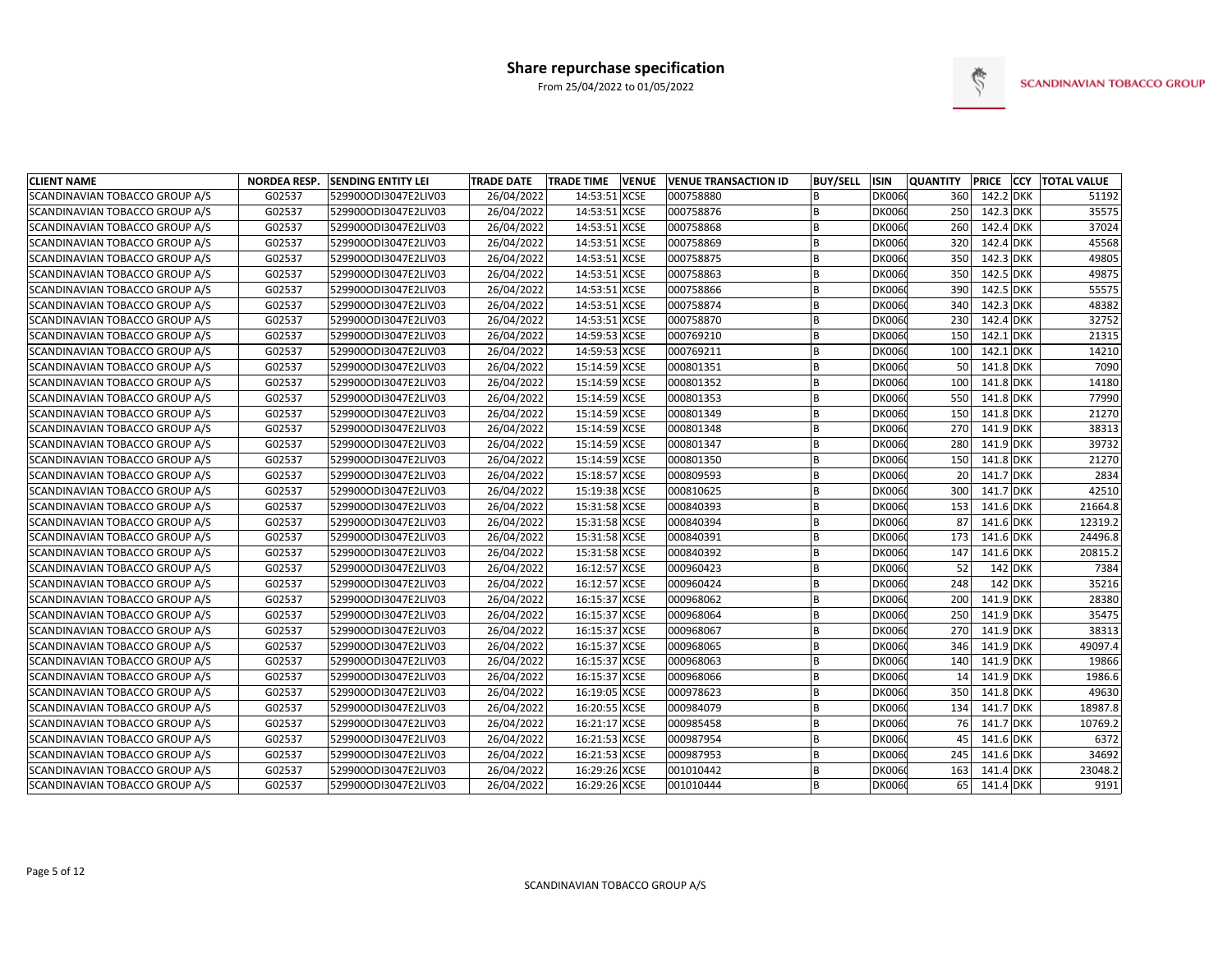

| <b>CLIENT NAME</b>             | <b>NORDEA RESP.</b> | <b>SENDING ENTITY LEI</b> | <b>TRADE DATE</b> | <b>TRADE TIME</b> | <b>VENUE</b> | <b>VENUE TRANSACTION ID</b> | <b>BUY/SELL</b> | ISIN          | <b>QUANTITY</b> |           | PRICE CCY TOTAL VALUE |
|--------------------------------|---------------------|---------------------------|-------------------|-------------------|--------------|-----------------------------|-----------------|---------------|-----------------|-----------|-----------------------|
| SCANDINAVIAN TOBACCO GROUP A/S | G02537              | 529900ODI3047E2LIV03      | 26/04/2022        | 14:53:51          | <b>XCSE</b>  | 000758880                   |                 | <b>DK0060</b> | 360             | 142.2 DKK | 51192                 |
| SCANDINAVIAN TOBACCO GROUP A/S | G02537              | 529900ODI3047E2LIV03      | 26/04/2022        | 14:53:51 XCSE     |              | 000758876                   | B               | <b>DK0060</b> | 250             | 142.3 DKK | 35575                 |
| SCANDINAVIAN TOBACCO GROUP A/S | G02537              | 529900ODI3047E2LIV03      | 26/04/2022        | 14:53:51 XCSE     |              | 000758868                   | B               | <b>DK006</b>  | 260             | 142.4 DKK | 37024                 |
| SCANDINAVIAN TOBACCO GROUP A/S | G02537              | 529900ODI3047E2LIV03      | 26/04/2022        | 14:53:51 XCSE     |              | 000758869                   | B               | <b>DK006</b>  | 320             | 142.4 DKK | 45568                 |
| SCANDINAVIAN TOBACCO GROUP A/S | G02537              | 529900ODI3047E2LIV03      | 26/04/2022        | 14:53:51 XCSE     |              | 000758875                   | B               | <b>DK006</b>  | 350             | 142.3 DKK | 49805                 |
| SCANDINAVIAN TOBACCO GROUP A/S | G02537              | 529900ODI3047E2LIV03      | 26/04/2022        | 14:53:51 XCSE     |              | 000758863                   |                 | <b>DK006</b>  | 350             | 142.5 DKK | 49875                 |
| SCANDINAVIAN TOBACCO GROUP A/S | G02537              | 529900ODI3047E2LIV03      | 26/04/2022        | 14:53:51 XCSE     |              | 000758866                   |                 | <b>DK006</b>  | 390             | 142.5 DKK | 55575                 |
| SCANDINAVIAN TOBACCO GROUP A/S | G02537              | 529900ODI3047E2LIV03      | 26/04/2022        | 14:53:51 XCSE     |              | 000758874                   | <b>B</b>        | <b>DK006</b>  | 340             | 142.3 DKK | 48382                 |
| SCANDINAVIAN TOBACCO GROUP A/S | G02537              | 529900ODI3047E2LIV03      | 26/04/2022        | 14:53:51 XCSE     |              | 000758870                   | <b>B</b>        | <b>DK006</b>  | 230             | 142.4 DKK | 32752                 |
| SCANDINAVIAN TOBACCO GROUP A/S | G02537              | 529900ODI3047E2LIV03      | 26/04/2022        | 14:59:53 XCSE     |              | 000769210                   | <b>B</b>        | <b>DK006</b>  | 150             | 142.1 DKK | 21315                 |
| SCANDINAVIAN TOBACCO GROUP A/S | G02537              | 529900ODI3047E2LIV03      | 26/04/2022        | 14:59:53 XCSE     |              | 000769211                   | <b>B</b>        | <b>DK006</b>  | 100             | 142.1 DKK | 14210                 |
| SCANDINAVIAN TOBACCO GROUP A/S | G02537              | 529900ODI3047E2LIV03      | 26/04/2022        | 15:14:59 XCSE     |              | 000801351                   | B               | <b>DK006</b>  | 50              | 141.8 DKK | 7090                  |
| SCANDINAVIAN TOBACCO GROUP A/S | G02537              | 529900ODI3047E2LIV03      | 26/04/2022        | 15:14:59 XCSE     |              | 000801352                   | <b>B</b>        | <b>DK006</b>  | 100             | 141.8 DKK | 14180                 |
| SCANDINAVIAN TOBACCO GROUP A/S | G02537              | 529900ODI3047E2LIV03      | 26/04/2022        | 15:14:59 XCSE     |              | 000801353                   | B               | <b>DK006</b>  | 550             | 141.8 DKK | 77990                 |
| SCANDINAVIAN TOBACCO GROUP A/S | G02537              | 529900ODI3047E2LIV03      | 26/04/2022        | 15:14:59 XCSE     |              | 000801349                   | <sub>B</sub>    | <b>DK006</b>  | 150             | 141.8 DKK | 21270                 |
| SCANDINAVIAN TOBACCO GROUP A/S | G02537              | 529900ODI3047E2LIV03      | 26/04/2022        | 15:14:59 XCSE     |              | 000801348                   | <sub>B</sub>    | <b>DK006</b>  | 270             | 141.9 DKK | 38313                 |
| SCANDINAVIAN TOBACCO GROUP A/S | G02537              | 529900ODI3047E2LIV03      | 26/04/2022        | 15:14:59 XCSE     |              | 000801347                   | B               | <b>DK006</b>  | 280             | 141.9 DKK | 39732                 |
| SCANDINAVIAN TOBACCO GROUP A/S | G02537              | 529900ODI3047E2LIV03      | 26/04/2022        | 15:14:59 XCSE     |              | 000801350                   | <b>B</b>        | <b>DK006</b>  | 150             | 141.8 DKK | 21270                 |
| SCANDINAVIAN TOBACCO GROUP A/S | G02537              | 529900ODI3047E2LIV03      | 26/04/2022        | 15:18:57 XCSE     |              | 000809593                   | B               | <b>DK006</b>  | 20              | 141.7 DKK | 2834                  |
| SCANDINAVIAN TOBACCO GROUP A/S | G02537              | 529900ODI3047E2LIV03      | 26/04/2022        | 15:19:38 XCSE     |              | 000810625                   | <b>B</b>        | <b>DK006</b>  | 300             | 141.7 DKK | 42510                 |
| SCANDINAVIAN TOBACCO GROUP A/S | G02537              | 529900ODI3047E2LIV03      | 26/04/2022        | 15:31:58 XCSE     |              | 000840393                   | B               | <b>DK006</b>  | 153             | 141.6 DKK | 21664.8               |
| SCANDINAVIAN TOBACCO GROUP A/S | G02537              | 529900ODI3047E2LIV03      | 26/04/2022        | 15:31:58 XCSE     |              | 000840394                   | <b>B</b>        | <b>DK006</b>  | 87              | 141.6 DKK | 12319.2               |
| SCANDINAVIAN TOBACCO GROUP A/S | G02537              | 529900ODI3047E2LIV03      | 26/04/2022        | 15:31:58 XCSE     |              | 000840391                   |                 | <b>DK006</b>  | 173             | 141.6 DKK | 24496.8               |
| SCANDINAVIAN TOBACCO GROUP A/S | G02537              | 529900ODI3047E2LIV03      | 26/04/2022        | 15:31:58 XCSE     |              | 000840392                   |                 | <b>DK006</b>  | 147             | 141.6 DKK | 20815.2               |
| SCANDINAVIAN TOBACCO GROUP A/S | G02537              | 529900ODI3047E2LIV03      | 26/04/2022        | 16:12:57 XCSE     |              | 000960423                   | <b>B</b>        | <b>DK006</b>  | 52              | 142 DKK   | 7384                  |
| SCANDINAVIAN TOBACCO GROUP A/S | G02537              | 529900ODI3047E2LIV03      | 26/04/2022        | 16:12:57 XCSE     |              | 000960424                   |                 | <b>DK006</b>  | 248             | 142 DKK   | 35216                 |
| SCANDINAVIAN TOBACCO GROUP A/S | G02537              | 529900ODI3047E2LIV03      | 26/04/2022        | 16:15:37 XCSE     |              | 000968062                   | <b>B</b>        | <b>DK006</b>  | 200             | 141.9 DKK | 28380                 |
| SCANDINAVIAN TOBACCO GROUP A/S | G02537              | 529900ODI3047E2LIV03      | 26/04/2022        | 16:15:37 XCSE     |              | 000968064                   | B               | <b>DK006</b>  | 250             | 141.9 DKK | 35475                 |
| SCANDINAVIAN TOBACCO GROUP A/S | G02537              | 529900ODI3047E2LIV03      | 26/04/2022        | 16:15:37 XCSE     |              | 000968067                   | <b>B</b>        | <b>DK006</b>  | 270             | 141.9 DKK | 38313                 |
| SCANDINAVIAN TOBACCO GROUP A/S | G02537              | 529900ODI3047E2LIV03      | 26/04/2022        | 16:15:37 XCSE     |              | 000968065                   | B               | <b>DK006</b>  | 346             | 141.9 DKK | 49097.4               |
| SCANDINAVIAN TOBACCO GROUP A/S | G02537              | 529900ODI3047E2LIV03      | 26/04/2022        | 16:15:37 XCSE     |              | 000968063                   | <b>B</b>        | <b>DK006</b>  | 140             | 141.9 DKK | 19866                 |
| SCANDINAVIAN TOBACCO GROUP A/S | G02537              | 529900ODI3047E2LIV03      | 26/04/2022        | 16:15:37 XCSE     |              | 000968066                   | <b>B</b>        | <b>DK006</b>  | 14              | 141.9 DKK | 1986.6                |
| SCANDINAVIAN TOBACCO GROUP A/S | G02537              | 529900ODI3047E2LIV03      | 26/04/2022        | 16:19:05 XCSE     |              | 000978623                   | <b>B</b>        | <b>DK006</b>  | 350             | 141.8 DKK | 49630                 |
| SCANDINAVIAN TOBACCO GROUP A/S | G02537              | 529900ODI3047E2LIV03      | 26/04/2022        | 16:20:55 XCSE     |              | 000984079                   | B               | <b>DK006</b>  | 134             | 141.7 DKK | 18987.8               |
| SCANDINAVIAN TOBACCO GROUP A/S | G02537              | 529900ODI3047E2LIV03      | 26/04/2022        | 16:21:17 XCSE     |              | 000985458                   | B               | <b>DK006</b>  | 76              | 141.7 DKK | 10769.2               |
| SCANDINAVIAN TOBACCO GROUP A/S | G02537              | 529900ODI3047E2LIV03      | 26/04/2022        | 16:21:53 XCSE     |              | 000987954                   |                 | <b>DK006</b>  | 45              | 141.6 DKK | 6372                  |
| SCANDINAVIAN TOBACCO GROUP A/S | G02537              | 529900ODI3047E2LIV03      | 26/04/2022        | 16:21:53 XCSE     |              | 000987953                   | B               | <b>DK006</b>  | 245             | 141.6 DKK | 34692                 |
| SCANDINAVIAN TOBACCO GROUP A/S | G02537              | 529900ODI3047E2LIV03      | 26/04/2022        | 16:29:26 XCSE     |              | 001010442                   | <b>B</b>        | <b>DK006</b>  | 163             | 141.4 DKK | 23048.2               |
| SCANDINAVIAN TOBACCO GROUP A/S | G02537              | 529900ODI3047E2LIV03      | 26/04/2022        | 16:29:26 XCSE     |              | 001010444                   |                 | <b>DK0060</b> | 65              | 141.4 DKK | 9191                  |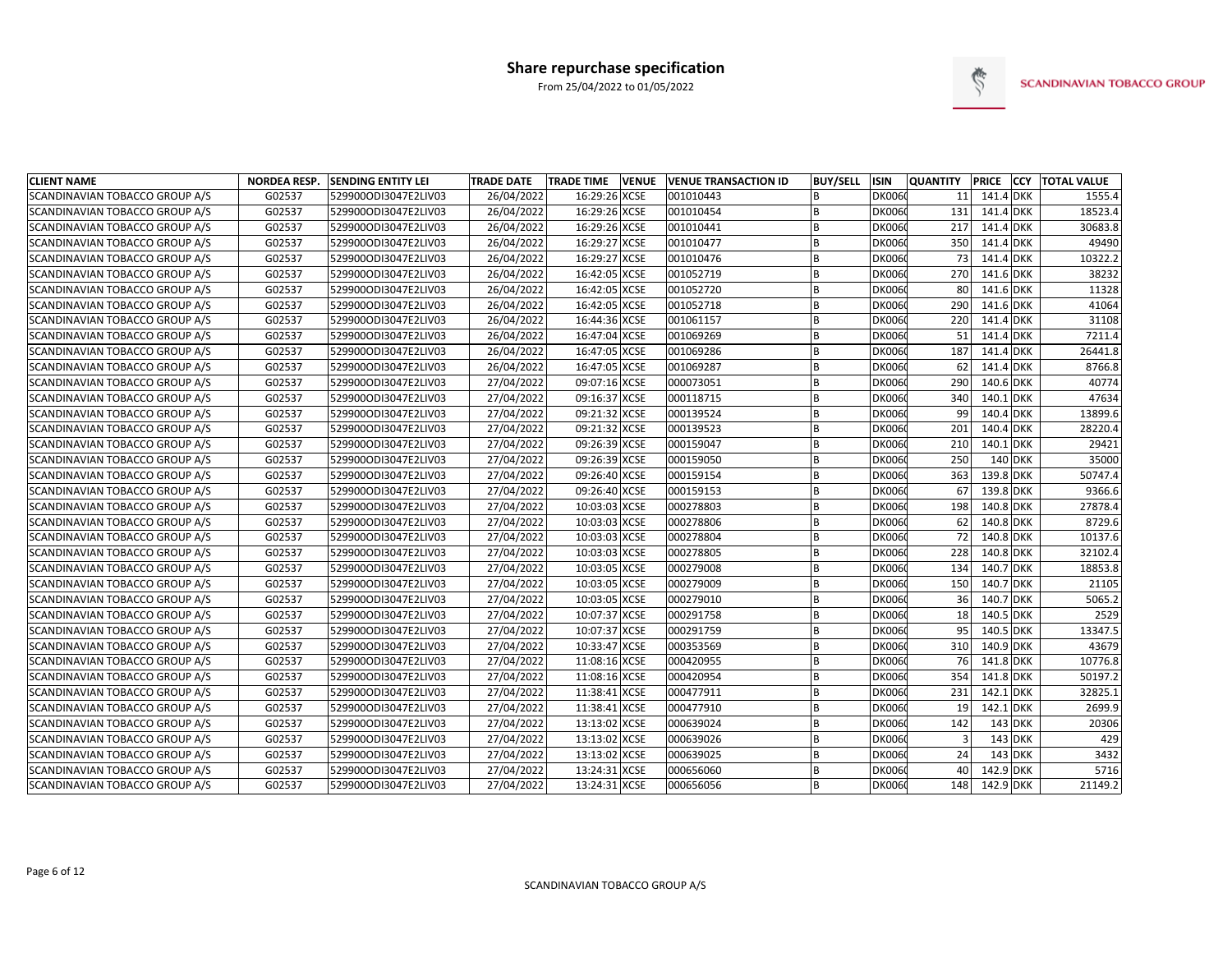

| <b>CLIENT NAME</b>                    | <b>NORDEA RESP.</b> | <b>SENDING ENTITY LEI</b> | <b>TRADE DATE</b> | <b>TRADE TIME</b><br><b>VENUE</b> | <b>VENUE TRANSACTION ID</b> | <b>BUY/SELL</b> | <b>ISIN</b>   | <b>QUANTITY</b> |           | PRICE CCY TOTAL VALUE |
|---------------------------------------|---------------------|---------------------------|-------------------|-----------------------------------|-----------------------------|-----------------|---------------|-----------------|-----------|-----------------------|
| SCANDINAVIAN TOBACCO GROUP A/S        | G02537              | 529900ODI3047E2LIV03      | 26/04/2022        | 16:29:26 XCSE                     | 001010443                   | <b>B</b>        | <b>DK0060</b> | 11              | 141.4 DKK | 1555.4                |
| SCANDINAVIAN TOBACCO GROUP A/S        | G02537              | 529900ODI3047E2LIV03      | 26/04/2022        | 16:29:26 XCSE                     | 001010454                   | B               | <b>DK0060</b> | 131             | 141.4 DKK | 18523.4               |
| SCANDINAVIAN TOBACCO GROUP A/S        | G02537              | 529900ODI3047E2LIV03      | 26/04/2022        | 16:29:26 XCSE                     | 001010441                   | <b>B</b>        | <b>DK006</b>  | 217             | 141.4 DKK | 30683.8               |
| SCANDINAVIAN TOBACCO GROUP A/S        | G02537              | 529900ODI3047E2LIV03      | 26/04/2022        | 16:29:27 XCSE                     | 001010477                   |                 | <b>DK006</b>  | 350             | 141.4 DKK | 49490                 |
| SCANDINAVIAN TOBACCO GROUP A/S        | G02537              | 529900ODI3047E2LIV03      | 26/04/2022        | 16:29:27 XCSE                     | 001010476                   |                 | <b>DK006</b>  | 73              | 141.4 DKK | 10322.2               |
| SCANDINAVIAN TOBACCO GROUP A/S        | G02537              | 529900ODI3047E2LIV03      | 26/04/2022        | 16:42:05 XCSE                     | 001052719                   |                 | <b>DK006</b>  | 270             | 141.6 DKK | 38232                 |
| <b>SCANDINAVIAN TOBACCO GROUP A/S</b> | G02537              | 529900ODI3047E2LIV03      | 26/04/2022        | 16:42:05 XCSE                     | 001052720                   | <b>B</b>        | <b>DK006</b>  | 80              | 141.6 DKK | 11328                 |
| SCANDINAVIAN TOBACCO GROUP A/S        | G02537              | 529900ODI3047E2LIV03      | 26/04/2022        | 16:42:05 XCSE                     | 001052718                   | <b>B</b>        | <b>DK006</b>  | 290             | 141.6 DKK | 41064                 |
| SCANDINAVIAN TOBACCO GROUP A/S        | G02537              | 529900ODI3047E2LIV03      | 26/04/2022        | 16:44:36 XCSE                     | 001061157                   | B               | <b>DK006</b>  | 220             | 141.4 DKK | 31108                 |
| SCANDINAVIAN TOBACCO GROUP A/S        | G02537              | 529900ODI3047E2LIV03      | 26/04/2022        | 16:47:04 XCSE                     | 001069269                   | B               | <b>DK006</b>  | 51              | 141.4 DKK | 7211.4                |
| SCANDINAVIAN TOBACCO GROUP A/S        | G02537              | 529900ODI3047E2LIV03      | 26/04/2022        | 16:47:05 XCSE                     | 001069286                   | B               | <b>DK006</b>  | 187             | 141.4 DKK | 26441.8               |
| SCANDINAVIAN TOBACCO GROUP A/S        | G02537              | 529900ODI3047E2LIV03      | 26/04/2022        | 16:47:05 XCSE                     | 001069287                   | <b>B</b>        | <b>DK006</b>  | 62              | 141.4 DKK | 8766.8                |
| SCANDINAVIAN TOBACCO GROUP A/S        | G02537              | 529900ODI3047E2LIV03      | 27/04/2022        | 09:07:16 XCSE                     | 000073051                   | B               | <b>DK006</b>  | 290             | 140.6 DKK | 40774                 |
| SCANDINAVIAN TOBACCO GROUP A/S        | G02537              | 529900ODI3047E2LIV03      | 27/04/2022        | 09:16:37 XCSE                     | 000118715                   | <b>B</b>        | <b>DK006</b>  | 340             | 140.1 DKK | 47634                 |
| <b>SCANDINAVIAN TOBACCO GROUP A/S</b> | G02537              | 529900ODI3047E2LIV03      | 27/04/2022        | 09:21:32 XCSE                     | 000139524                   | <sub>B</sub>    | <b>DK006</b>  | 99              | 140.4 DKK | 13899.6               |
| SCANDINAVIAN TOBACCO GROUP A/S        | G02537              | 529900ODI3047E2LIV03      | 27/04/2022        | 09:21:32 XCSE                     | 000139523                   | B               | <b>DK006</b>  | 201             | 140.4 DKK | 28220.4               |
| SCANDINAVIAN TOBACCO GROUP A/S        | G02537              | 529900ODI3047E2LIV03      | 27/04/2022        | 09:26:39 XCSE                     | 000159047                   | B               | <b>DK0060</b> | 210             | 140.1 DKK | 29421                 |
| SCANDINAVIAN TOBACCO GROUP A/S        | G02537              | 529900ODI3047E2LIV03      | 27/04/2022        | 09:26:39 XCSE                     | 000159050                   | <b>B</b>        | <b>DK006</b>  | 250             | 140 DKK   | 35000                 |
| SCANDINAVIAN TOBACCO GROUP A/S        | G02537              | 529900ODI3047E2LIV03      | 27/04/2022        | 09:26:40 XCSE                     | 000159154                   | <b>B</b>        | <b>DK006</b>  | 363             | 139.8 DKK | 50747.4               |
| SCANDINAVIAN TOBACCO GROUP A/S        | G02537              | 529900ODI3047E2LIV03      | 27/04/2022        | 09:26:40 XCSE                     | 000159153                   |                 | <b>DK006</b>  | 67              | 139.8 DKK | 9366.6                |
| SCANDINAVIAN TOBACCO GROUP A/S        | G02537              | 529900ODI3047E2LIV03      | 27/04/2022        | 10:03:03 XCSE                     | 000278803                   |                 | <b>DK006</b>  | 198             | 140.8 DKK | 27878.4               |
| SCANDINAVIAN TOBACCO GROUP A/S        | G02537              | 529900ODI3047E2LIV03      | 27/04/2022        | 10:03:03 XCSE                     | 000278806                   |                 | <b>DK006</b>  | 62              | 140.8 DKK | 8729.6                |
| SCANDINAVIAN TOBACCO GROUP A/S        | G02537              | 529900ODI3047E2LIV03      | 27/04/2022        | 10:03:03 XCSE                     | 000278804                   |                 | <b>DK006</b>  | 72              | 140.8 DKK | 10137.6               |
| SCANDINAVIAN TOBACCO GROUP A/S        | G02537              | 529900ODI3047E2LIV03      | 27/04/2022        | 10:03:03 XCSE                     | 000278805                   | <b>B</b>        | <b>DK006</b>  | 228             | 140.8 DKK | 32102.4               |
| SCANDINAVIAN TOBACCO GROUP A/S        | G02537              | 529900ODI3047E2LIV03      | 27/04/2022        | 10:03:05 XCSE                     | 000279008                   |                 | <b>DK006</b>  | 134             | 140.7 DKK | 18853.8               |
| SCANDINAVIAN TOBACCO GROUP A/S        | G02537              | 529900ODI3047E2LIV03      | 27/04/2022        | 10:03:05 XCSE                     | 000279009                   |                 | <b>DK006</b>  | 150             | 140.7 DKK | 21105                 |
| SCANDINAVIAN TOBACCO GROUP A/S        | G02537              | 529900ODI3047E2LIV03      | 27/04/2022        | 10:03:05 XCSE                     | 000279010                   | <b>B</b>        | <b>DK006</b>  | 36              | 140.7 DKK | 5065.2                |
| SCANDINAVIAN TOBACCO GROUP A/S        | G02537              | 529900ODI3047E2LIV03      | 27/04/2022        | 10:07:37 XCSE                     | 000291758                   | B               | <b>DK006</b>  | 18              | 140.5 DKK | 2529                  |
| SCANDINAVIAN TOBACCO GROUP A/S        | G02537              | 529900ODI3047E2LIV03      | 27/04/2022        | 10:07:37 XCSE                     | 000291759                   |                 | <b>DK006</b>  | 95              | 140.5 DKK | 13347.5               |
| SCANDINAVIAN TOBACCO GROUP A/S        | G02537              | 529900ODI3047E2LIV03      | 27/04/2022        | 10:33:47 XCSE                     | 000353569                   | B               | <b>DK006</b>  | 310             | 140.9 DKK | 43679                 |
| SCANDINAVIAN TOBACCO GROUP A/S        | G02537              | 529900ODI3047E2LIV03      | 27/04/2022        | 11:08:16 XCSE                     | 000420955                   | <sub>B</sub>    | <b>DK006</b>  | 76              | 141.8 DKK | 10776.8               |
| SCANDINAVIAN TOBACCO GROUP A/S        | G02537              | 529900ODI3047E2LIV03      | 27/04/2022        | 11:08:16 XCSE                     | 000420954                   | <sub>B</sub>    | <b>DK006</b>  | 354             | 141.8 DKK | 50197.2               |
| SCANDINAVIAN TOBACCO GROUP A/S        | G02537              | 529900ODI3047E2LIV03      | 27/04/2022        | 11:38:41 XCSE                     | 000477911                   | B               | <b>DK006</b>  | 231             | 142.1 DKK | 32825.1               |
| SCANDINAVIAN TOBACCO GROUP A/S        | G02537              | 529900ODI3047E2LIV03      | 27/04/2022        | 11:38:41 XCSE                     | 000477910                   | <b>B</b>        | <b>DK006</b>  | 19              | 142.1 DKK | 2699.9                |
| SCANDINAVIAN TOBACCO GROUP A/S        | G02537              | 529900ODI3047E2LIV03      | 27/04/2022        | 13:13:02 XCSE                     | 000639024                   | B               | <b>DK006</b>  | 142             | $143$ DKK | 20306                 |
| SCANDINAVIAN TOBACCO GROUP A/S        | G02537              | 529900ODI3047E2LIV03      | 27/04/2022        | 13:13:02 XCSE                     | 000639026                   | <b>B</b>        | <b>DK006</b>  | 3               | $143$ DKK | 429                   |
| SCANDINAVIAN TOBACCO GROUP A/S        | G02537              | 529900ODI3047E2LIV03      | 27/04/2022        | 13:13:02 XCSE                     | 000639025                   | <b>B</b>        | <b>DK0060</b> | 24              | 143 DKK   | 3432                  |
| SCANDINAVIAN TOBACCO GROUP A/S        | G02537              | 529900ODI3047E2LIV03      | 27/04/2022        | 13:24:31 XCSE                     | 000656060                   |                 | <b>DK006</b>  | 40              | 142.9 DKK | 5716                  |
| SCANDINAVIAN TOBACCO GROUP A/S        | G02537              | 529900ODI3047E2LIV03      | 27/04/2022        | 13:24:31 XCSE                     | 000656056                   |                 | <b>DK0060</b> | 148             | 142.9 DKK | 21149.2               |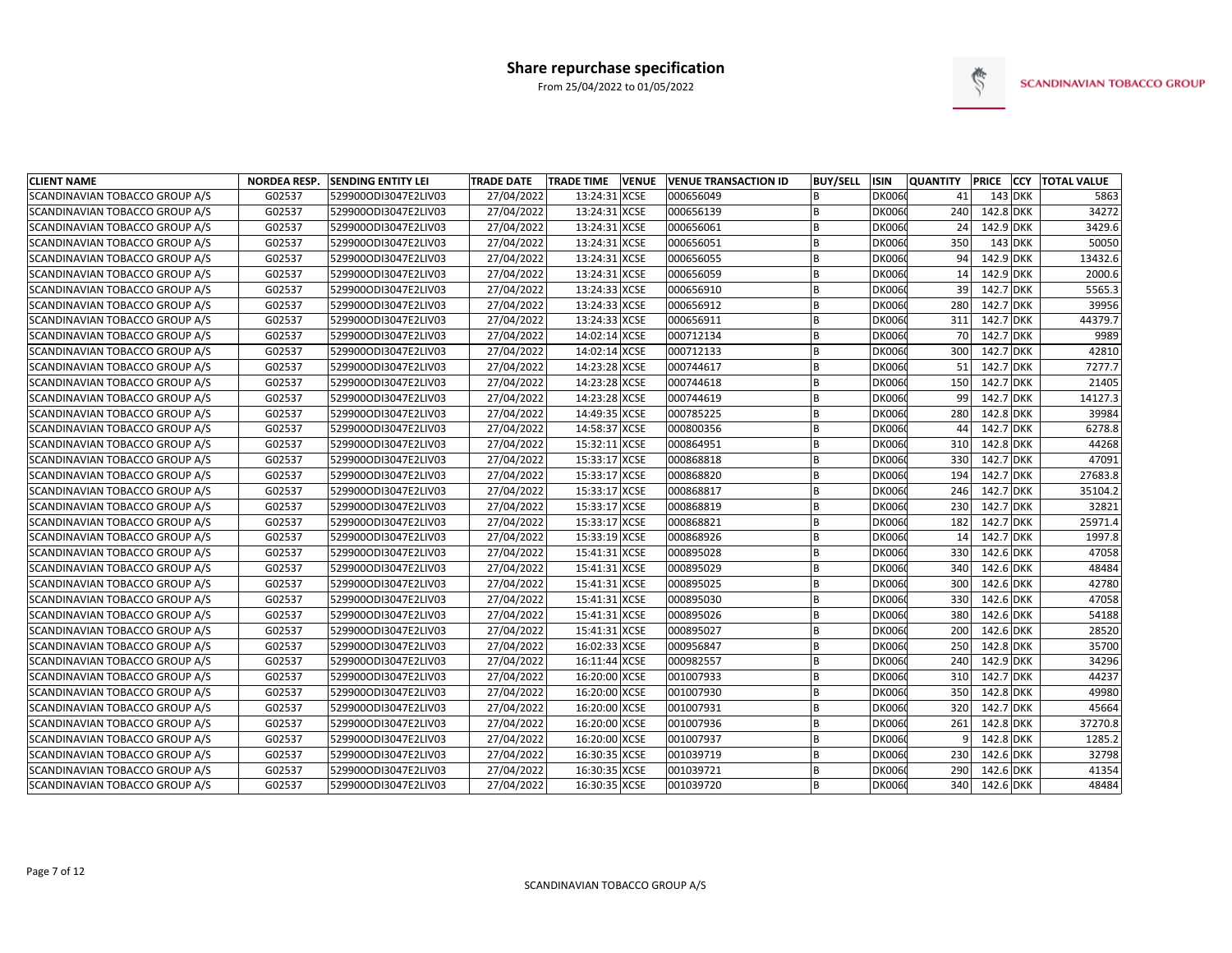

| <b>CLIENT NAME</b>             | <b>NORDEA RESP.</b> | <b>SENDING ENTITY LEI</b> | <b>TRADE DATE</b> | <b>TRADE TIME</b> | <b>VENUE</b> | <b>VENUE TRANSACTION ID</b> | <b>BUY/SELL</b> | <b>ISIN</b>   | <b>QUANTITY</b> | <b>PRICE</b> | <b>CCY TOTAL VALUE</b> |
|--------------------------------|---------------------|---------------------------|-------------------|-------------------|--------------|-----------------------------|-----------------|---------------|-----------------|--------------|------------------------|
| SCANDINAVIAN TOBACCO GROUP A/S | G02537              | 529900ODI3047E2LIV03      | 27/04/2022        | 13:24:31 XCSE     |              | 000656049                   |                 | <b>DK0060</b> | 41              | 143 DKK      | 5863                   |
| SCANDINAVIAN TOBACCO GROUP A/S | G02537              | 529900ODI3047E2LIV03      | 27/04/2022        | 13:24:31 XCSE     |              | 000656139                   | B               | <b>DK0060</b> | 240             | 142.8 DKK    | 34272                  |
| SCANDINAVIAN TOBACCO GROUP A/S | G02537              | 529900ODI3047E2LIV03      | 27/04/2022        | 13:24:31 XCSE     |              | 000656061                   | B               | <b>DK0060</b> | 24              | 142.9 DKK    | 3429.6                 |
| SCANDINAVIAN TOBACCO GROUP A/S | G02537              | 529900ODI3047E2LIV03      | 27/04/2022        | 13:24:31 XCSE     |              | 000656051                   | B               | <b>DK0060</b> | 350             | $143$ DKK    | 50050                  |
| SCANDINAVIAN TOBACCO GROUP A/S | G02537              | 529900ODI3047E2LIV03      | 27/04/2022        | 13:24:31 XCSE     |              | 000656055                   | B               | <b>DK0060</b> | 94              | 142.9 DKK    | 13432.6                |
| SCANDINAVIAN TOBACCO GROUP A/S | G02537              | 529900ODI3047E2LIV03      | 27/04/2022        | 13:24:31 XCSE     |              | 000656059                   |                 | <b>DK0060</b> | 14              | 142.9 DKK    | 2000.6                 |
| SCANDINAVIAN TOBACCO GROUP A/S | G02537              | 529900ODI3047E2LIV03      | 27/04/2022        | 13:24:33 XCSE     |              | 000656910                   | <b>B</b>        | <b>DK006</b>  | 39              | 142.7 DKK    | 5565.3                 |
| SCANDINAVIAN TOBACCO GROUP A/S | G02537              | 529900ODI3047E2LIV03      | 27/04/2022        | 13:24:33 XCSE     |              | 000656912                   | B               | <b>DK006</b>  | 280             | 142.7 DKK    | 39956                  |
| SCANDINAVIAN TOBACCO GROUP A/S | G02537              | 529900ODI3047E2LIV03      | 27/04/2022        | 13:24:33 XCSE     |              | 000656911                   | <b>B</b>        | <b>DK006</b>  | 311             | 142.7 DKK    | 44379.7                |
| SCANDINAVIAN TOBACCO GROUP A/S | G02537              | 529900ODI3047E2LIV03      | 27/04/2022        | 14:02:14 XCSE     |              | 000712134                   |                 | <b>DK0060</b> | 70              | 142.7 DKK    | 9989                   |
| SCANDINAVIAN TOBACCO GROUP A/S | G02537              | 529900ODI3047E2LIV03      | 27/04/2022        | 14:02:14 XCSE     |              | 000712133                   | B               | <b>DK0060</b> | 300             | 142.7 DKK    | 42810                  |
| SCANDINAVIAN TOBACCO GROUP A/S | G02537              | 529900ODI3047E2LIV03      | 27/04/2022        | 14:23:28 XCSE     |              | 000744617                   | B               | <b>DK0060</b> | 51              | 142.7 DKK    | 7277.7                 |
| SCANDINAVIAN TOBACCO GROUP A/S | G02537              | 529900ODI3047E2LIV03      | 27/04/2022        | 14:23:28 XCSE     |              | 000744618                   | B               | <b>DK0060</b> | 150             | 142.7 DKK    | 21405                  |
| SCANDINAVIAN TOBACCO GROUP A/S | G02537              | 529900ODI3047E2LIV03      | 27/04/2022        | 14:23:28 XCSE     |              | 000744619                   | B               | <b>DK006</b>  | 99              | 142.7 DKK    | 14127.3                |
| SCANDINAVIAN TOBACCO GROUP A/S | G02537              | 529900ODI3047E2LIV03      | 27/04/2022        | 14:49:35 XCSE     |              | 000785225                   | <b>B</b>        | <b>DK0060</b> | 280             | 142.8 DKK    | 39984                  |
| SCANDINAVIAN TOBACCO GROUP A/S | G02537              | 529900ODI3047E2LIV03      | 27/04/2022        | 14:58:37 XCSE     |              | 000800356                   | B               | <b>DK0060</b> | 44              | 142.7 DKK    | 6278.8                 |
| SCANDINAVIAN TOBACCO GROUP A/S | G02537              | 529900ODI3047E2LIV03      | 27/04/2022        | 15:32:11 XCSE     |              | 000864951                   | B               | <b>DK006</b>  | 310             | 142.8 DKK    | 44268                  |
| SCANDINAVIAN TOBACCO GROUP A/S | G02537              | 529900ODI3047E2LIV03      | 27/04/2022        | 15:33:17 XCSE     |              | 000868818                   | B               | <b>DK006</b>  | 330             | 142.7 DKK    | 47091                  |
| SCANDINAVIAN TOBACCO GROUP A/S | G02537              | 529900ODI3047E2LIV03      | 27/04/2022        | 15:33:17 XCSE     |              | 000868820                   | B               | <b>DK0060</b> | 194             | 142.7 DKK    | 27683.8                |
| SCANDINAVIAN TOBACCO GROUP A/S | G02537              | 529900ODI3047E2LIV03      | 27/04/2022        | 15:33:17 XCSE     |              | 000868817                   | B               | <b>DK0060</b> | 246             | 142.7 DKK    | 35104.2                |
| SCANDINAVIAN TOBACCO GROUP A/S | G02537              | 529900ODI3047E2LIV03      | 27/04/2022        | 15:33:17 XCSE     |              | 000868819                   | B               | <b>DK0060</b> | 230             | 142.7 DKK    | 32821                  |
| SCANDINAVIAN TOBACCO GROUP A/S | G02537              | 529900ODI3047E2LIV03      | 27/04/2022        | 15:33:17 XCSE     |              | 000868821                   | B               | <b>DK006</b>  | 182             | 142.7 DKK    | 25971.4                |
| SCANDINAVIAN TOBACCO GROUP A/S | G02537              | 529900ODI3047E2LIV03      | 27/04/2022        | 15:33:19 XCSE     |              | 000868926                   | B               | <b>DK0060</b> | 14              | 142.7 DKK    | 1997.8                 |
| SCANDINAVIAN TOBACCO GROUP A/S | G02537              | 529900ODI3047E2LIV03      | 27/04/2022        | 15:41:31 XCSE     |              | 000895028                   | B               | <b>DK006</b>  | 330             | 142.6 DKK    | 47058                  |
| SCANDINAVIAN TOBACCO GROUP A/S | G02537              | 529900ODI3047E2LIV03      | 27/04/2022        | 15:41:31 XCSE     |              | 000895029                   | B               | <b>DK0060</b> | 340             | 142.6 DKK    | 48484                  |
| SCANDINAVIAN TOBACCO GROUP A/S | G02537              | 529900ODI3047E2LIV03      | 27/04/2022        | 15:41:31 XCSE     |              | 000895025                   | B               | <b>DK0060</b> | 300             | 142.6 DKK    | 42780                  |
| SCANDINAVIAN TOBACCO GROUP A/S | G02537              | 529900ODI3047E2LIV03      | 27/04/2022        | 15:41:31 XCSE     |              | 000895030                   | <b>B</b>        | <b>DK0060</b> | 330             | 142.6 DKK    | 47058                  |
| SCANDINAVIAN TOBACCO GROUP A/S | G02537              | 529900ODI3047E2LIV03      | 27/04/2022        | 15:41:31 XCSE     |              | 000895026                   | B               | <b>DK0060</b> | 380             | 142.6 DKK    | 54188                  |
| SCANDINAVIAN TOBACCO GROUP A/S | G02537              | 529900ODI3047E2LIV03      | 27/04/2022        | 15:41:31 XCSE     |              | 000895027                   | B               | <b>DK0060</b> | 200             | 142.6 DKK    | 28520                  |
| SCANDINAVIAN TOBACCO GROUP A/S | G02537              | 529900ODI3047E2LIV03      | 27/04/2022        | 16:02:33 XCSE     |              | 000956847                   | B               | <b>DK006</b>  | 250             | 142.8 DKK    | 35700                  |
| SCANDINAVIAN TOBACCO GROUP A/S | G02537              | 529900ODI3047E2LIV03      | 27/04/2022        | 16:11:44 XCSE     |              | 000982557                   | B               | <b>DK0060</b> | 240             | 142.9 DKK    | 34296                  |
| SCANDINAVIAN TOBACCO GROUP A/S | G02537              | 529900ODI3047E2LIV03      | 27/04/2022        | 16:20:00 XCSE     |              | 001007933                   | B               | <b>DK006</b>  | 310             | 142.7 DKK    | 44237                  |
| SCANDINAVIAN TOBACCO GROUP A/S | G02537              | 529900ODI3047E2LIV03      | 27/04/2022        | 16:20:00 XCSE     |              | 001007930                   | B               | <b>DK006</b>  | 350             | 142.8 DKK    | 49980                  |
| SCANDINAVIAN TOBACCO GROUP A/S | G02537              | 529900ODI3047E2LIV03      | 27/04/2022        | 16:20:00 XCSE     |              | 001007931                   | B               | <b>DK006</b>  | 320             | 142.7 DKK    | 45664                  |
| SCANDINAVIAN TOBACCO GROUP A/S | G02537              | 529900ODI3047E2LIV03      | 27/04/2022        | 16:20:00 XCSE     |              | 001007936                   | B               | <b>DK0060</b> | 261             | 142.8 DKK    | 37270.8                |
| SCANDINAVIAN TOBACCO GROUP A/S | G02537              | 529900ODI3047E2LIV03      | 27/04/2022        | 16:20:00 XCSE     |              | 001007937                   | B               | <b>DK0060</b> | q               | 142.8 DKK    | 1285.2                 |
| SCANDINAVIAN TOBACCO GROUP A/S | G02537              | 529900ODI3047E2LIV03      | 27/04/2022        | 16:30:35 XCSE     |              | 001039719                   | B               | <b>DK0060</b> | 230             | 142.6 DKK    | 32798                  |
| SCANDINAVIAN TOBACCO GROUP A/S | G02537              | 529900ODI3047E2LIV03      | 27/04/2022        | 16:30:35 XCSE     |              | 001039721                   | <b>B</b>        | <b>DK0060</b> | 290             | 142.6 DKK    | 41354                  |
| SCANDINAVIAN TOBACCO GROUP A/S | G02537              | 529900ODI3047E2LIV03      | 27/04/2022        | 16:30:35 XCSE     |              | 001039720                   |                 | <b>DK0060</b> | 340             | 142.6 DKK    | 48484                  |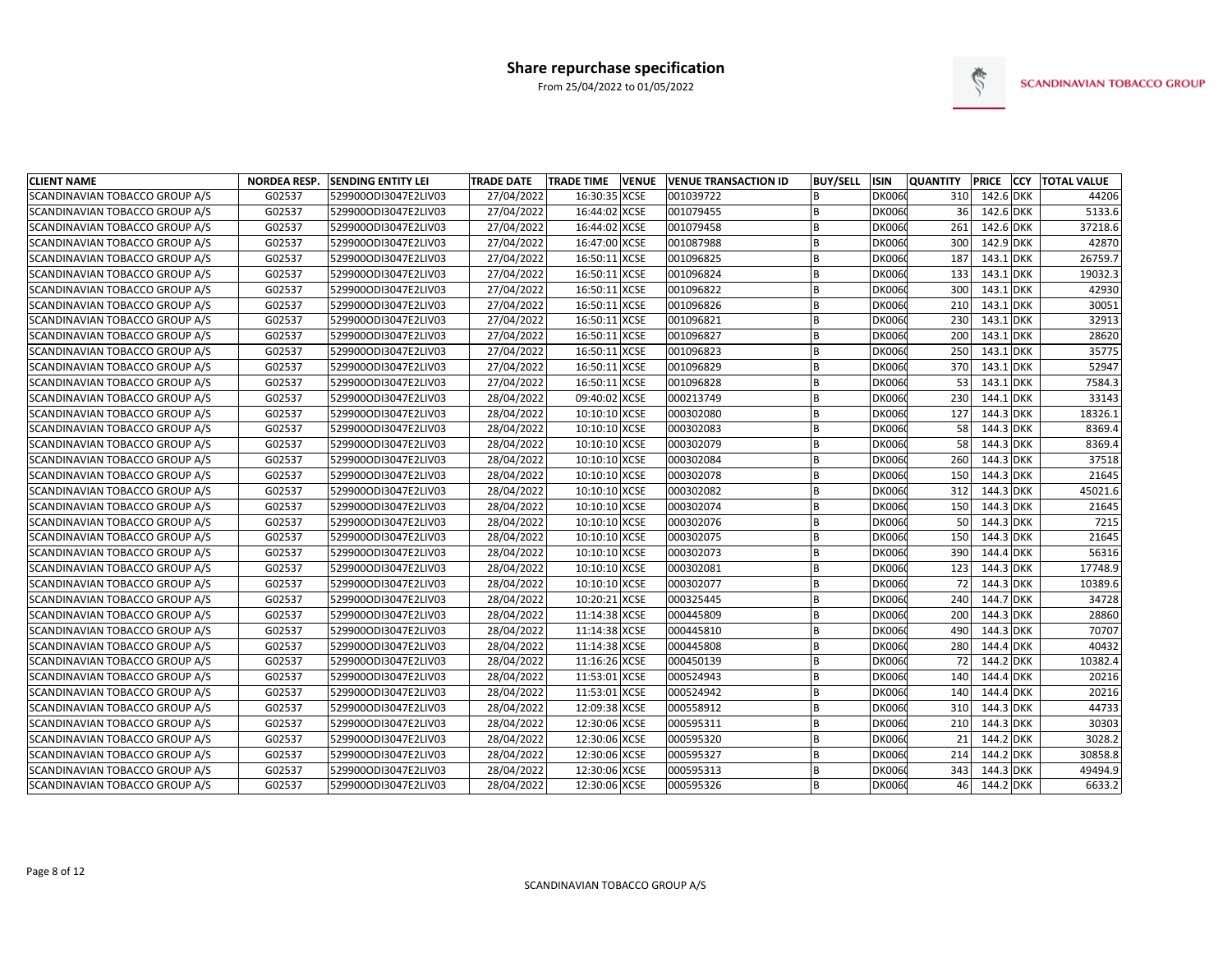

| <b>CLIENT NAME</b>                    | <b>NORDEA RESP.</b> | <b>SENDING ENTITY LEI</b> | TRADE DATE | <b>TRADE TIME</b> | <b>VENUE</b> | <b>VENUE TRANSACTION ID</b> | <b>BUY/SELL</b> | <b>ISIN</b>   | <b>QUANTITY</b> |           | PRICE CCY TOTAL VALUE |
|---------------------------------------|---------------------|---------------------------|------------|-------------------|--------------|-----------------------------|-----------------|---------------|-----------------|-----------|-----------------------|
| SCANDINAVIAN TOBACCO GROUP A/S        | G02537              | 529900ODI3047E2LIV03      | 27/04/2022 | 16:30:35 XCSE     |              | 001039722                   |                 | <b>DK0060</b> | 310             | 142.6 DKK | 44206                 |
| SCANDINAVIAN TOBACCO GROUP A/S        | G02537              | 529900ODI3047E2LIV03      | 27/04/2022 | 16:44:02 XCSE     |              | 001079455                   | <b>B</b>        | <b>DK0060</b> | 36              | 142.6 DKK | 5133.6                |
| SCANDINAVIAN TOBACCO GROUP A/S        | G02537              | 529900ODI3047E2LIV03      | 27/04/2022 | 16:44:02 XCSE     |              | 001079458                   | B               | <b>DK006</b>  | 261             | 142.6 DKK | 37218.6               |
| SCANDINAVIAN TOBACCO GROUP A/S        | G02537              | 529900ODI3047E2LIV03      | 27/04/2022 | 16:47:00 XCSE     |              | 001087988                   | <b>B</b>        | <b>DK006</b>  | 300             | 142.9 DKK | 42870                 |
| SCANDINAVIAN TOBACCO GROUP A/S        | G02537              | 529900ODI3047E2LIV03      | 27/04/2022 | 16:50:11 XCSE     |              | 001096825                   | B               | <b>DK006</b>  | 187             | 143.1 DKK | 26759.7               |
| SCANDINAVIAN TOBACCO GROUP A/S        | G02537              | 529900ODI3047E2LIV03      | 27/04/2022 | 16:50:11 XCSE     |              | 001096824                   |                 | <b>DK006</b>  | 133             | 143.1 DKK | 19032.3               |
| <b>SCANDINAVIAN TOBACCO GROUP A/S</b> | G02537              | 529900ODI3047E2LIV03      | 27/04/2022 | 16:50:11 XCSE     |              | 001096822                   |                 | <b>DK006</b>  | 300             | 143.1 DKK | 42930                 |
| SCANDINAVIAN TOBACCO GROUP A/S        | G02537              | 529900ODI3047E2LIV03      | 27/04/2022 | 16:50:11 XCSE     |              | 001096826                   | <sub>B</sub>    | <b>DK006</b>  | 210             | 143.1 DKK | 30051                 |
| SCANDINAVIAN TOBACCO GROUP A/S        | G02537              | 529900ODI3047E2LIV03      | 27/04/2022 | 16:50:11          | <b>XCSE</b>  | 001096821                   | B               | <b>DK006</b>  | 230             | 143.1 DKK | 32913                 |
| SCANDINAVIAN TOBACCO GROUP A/S        | G02537              | 529900ODI3047E2LIV03      | 27/04/2022 | 16:50:11 XCSE     |              | 001096827                   | <b>B</b>        | <b>DK006</b>  | 200             | 143.1 DKK | 28620                 |
| SCANDINAVIAN TOBACCO GROUP A/S        | G02537              | 529900ODI3047E2LIV03      | 27/04/2022 | 16:50:11 XCSE     |              | 001096823                   | B               | <b>DK006</b>  | 250             | 143.1 DKK | 35775                 |
| SCANDINAVIAN TOBACCO GROUP A/S        | G02537              | 529900ODI3047E2LIV03      | 27/04/2022 | 16:50:11 XCSE     |              | 001096829                   | <b>B</b>        | <b>DK006</b>  | 370             | 143.1 DKK | 52947                 |
| SCANDINAVIAN TOBACCO GROUP A/S        | G02537              | 529900ODI3047E2LIV03      | 27/04/2022 | 16:50:11 XCSE     |              | 001096828                   | B               | <b>DK006</b>  | 53              | 143.1 DKK | 7584.3                |
| SCANDINAVIAN TOBACCO GROUP A/S        | G02537              | 529900ODI3047E2LIV03      | 28/04/2022 | 09:40:02 XCSE     |              | 000213749                   | <b>B</b>        | <b>DK006</b>  | 230             | 144.1 DKK | 33143                 |
| <b>SCANDINAVIAN TOBACCO GROUP A/S</b> | G02537              | 529900ODI3047E2LIV03      | 28/04/2022 | 10:10:10 XCSE     |              | 000302080                   | <b>B</b>        | <b>DK006</b>  | 127             | 144.3 DKK | 18326.1               |
| SCANDINAVIAN TOBACCO GROUP A/S        | G02537              | 529900ODI3047E2LIV03      | 28/04/2022 | 10:10:10 XCSE     |              | 000302083                   | <b>R</b>        | <b>DK006</b>  | 58              | 144.3 DKK | 8369.4                |
| SCANDINAVIAN TOBACCO GROUP A/S        | G02537              | 529900ODI3047E2LIV03      | 28/04/2022 | 10:10:10 XCSE     |              | 000302079                   | B               | <b>DK006</b>  | 58              | 144.3 DKK | 8369.4                |
| SCANDINAVIAN TOBACCO GROUP A/S        | G02537              | 529900ODI3047E2LIV03      | 28/04/2022 | 10:10:10 XCSE     |              | 000302084                   | <b>B</b>        | <b>DK006</b>  | 260             | 144.3 DKK | 37518                 |
| SCANDINAVIAN TOBACCO GROUP A/S        | G02537              | 529900ODI3047E2LIV03      | 28/04/2022 | 10:10:10 XCSE     |              | 000302078                   | B               | <b>DK006</b>  | 150             | 144.3 DKK | 21645                 |
| SCANDINAVIAN TOBACCO GROUP A/S        | G02537              | 529900ODI3047E2LIV03      | 28/04/2022 | 10:10:10 XCSE     |              | 000302082                   | <b>B</b>        | <b>DK006</b>  | 312             | 144.3 DKK | 45021.6               |
| SCANDINAVIAN TOBACCO GROUP A/S        | G02537              | 529900ODI3047E2LIV03      | 28/04/2022 | 10:10:10 XCSE     |              | 000302074                   | B               | <b>DK006</b>  | 150             | 144.3 DKK | 21645                 |
| SCANDINAVIAN TOBACCO GROUP A/S        | G02537              | 529900ODI3047E2LIV03      | 28/04/2022 | 10:10:10 XCSE     |              | 000302076                   |                 | <b>DK006</b>  | 50              | 144.3 DKK | 7215                  |
| <b>SCANDINAVIAN TOBACCO GROUP A/S</b> | G02537              | 529900ODI3047E2LIV03      | 28/04/2022 | 10:10:10 XCSE     |              | 000302075                   |                 | <b>DK006</b>  | 150             | 144.3 DKK | 21645                 |
| SCANDINAVIAN TOBACCO GROUP A/S        | G02537              | 529900ODI3047E2LIV03      | 28/04/2022 | 10:10:10 XCSE     |              | 000302073                   | <b>R</b>        | <b>DK006</b>  | 390             | 144.4 DKK | 56316                 |
| SCANDINAVIAN TOBACCO GROUP A/S        | G02537              | 529900ODI3047E2LIV03      | 28/04/2022 | 10:10:10 XCSE     |              | 000302081                   | <b>B</b>        | <b>DK006</b>  | 123             | 144.3 DKK | 17748.9               |
| SCANDINAVIAN TOBACCO GROUP A/S        | G02537              | 529900ODI3047E2LIV03      | 28/04/2022 | 10:10:10 XCSE     |              | 000302077                   |                 | <b>DK006</b>  | 72              | 144.3 DKK | 10389.6               |
| SCANDINAVIAN TOBACCO GROUP A/S        | G02537              | 529900ODI3047E2LIV03      | 28/04/2022 | 10:20:21 XCSE     |              | 000325445                   |                 | <b>DK006</b>  | 240             | 144.7 DKK | 34728                 |
| SCANDINAVIAN TOBACCO GROUP A/S        | G02537              | 529900ODI3047E2LIV03      | 28/04/2022 | 11:14:38 XCSE     |              | 000445809                   | <b>B</b>        | <b>DK006</b>  | 200             | 144.3 DKK | 28860                 |
| SCANDINAVIAN TOBACCO GROUP A/S        | G02537              | 529900ODI3047E2LIV03      | 28/04/2022 | 11:14:38 XCSE     |              | 000445810                   | B               | <b>DK006</b>  | 490             | 144.3 DKK | 70707                 |
| SCANDINAVIAN TOBACCO GROUP A/S        | G02537              | 529900ODI3047E2LIV03      | 28/04/2022 | 11:14:38 XCSE     |              | 000445808                   | <b>B</b>        | <b>DK006</b>  | 280             | 144.4 DKK | 40432                 |
| SCANDINAVIAN TOBACCO GROUP A/S        | G02537              | 529900ODI3047E2LIV03      | 28/04/2022 | 11:16:26 XCSE     |              | 000450139                   |                 | <b>DK006</b>  | 72              | 144.2 DKK | 10382.4               |
| SCANDINAVIAN TOBACCO GROUP A/S        | G02537              | 529900ODI3047E2LIV03      | 28/04/2022 | 11:53:01 XCSE     |              | 000524943                   | <b>B</b>        | <b>DK006</b>  | 140             | 144.4 DKK | 20216                 |
| SCANDINAVIAN TOBACCO GROUP A/S        | G02537              | 529900ODI3047E2LIV03      | 28/04/2022 | 11:53:01 XCSE     |              | 000524942                   | <sub>B</sub>    | <b>DK006</b>  | 140             | 144.4 DKK | 20216                 |
| SCANDINAVIAN TOBACCO GROUP A/S        | G02537              | 529900ODI3047E2LIV03      | 28/04/2022 | 12:09:38 XCSE     |              | 000558912                   | <b>B</b>        | <b>DK006</b>  | 310             | 144.3 DKK | 44733                 |
| SCANDINAVIAN TOBACCO GROUP A/S        | G02537              | 529900ODI3047E2LIV03      | 28/04/2022 | 12:30:06 XCSE     |              | 000595311                   | B               | <b>DK006</b>  | 210             | 144.3 DKK | 30303                 |
| SCANDINAVIAN TOBACCO GROUP A/S        | G02537              | 529900ODI3047E2LIV03      | 28/04/2022 | 12:30:06 XCSE     |              | 000595320                   |                 | <b>DK006</b>  | 21              | 144.2 DKK | 3028.2                |
| SCANDINAVIAN TOBACCO GROUP A/S        | G02537              | 529900ODI3047E2LIV03      | 28/04/2022 | 12:30:06 XCSE     |              | 000595327                   | B               | <b>DK006</b>  | 214             | 144.2 DKK | 30858.8               |
| SCANDINAVIAN TOBACCO GROUP A/S        | G02537              | 529900ODI3047E2LIV03      | 28/04/2022 | 12:30:06 XCSE     |              | 000595313                   | <b>B</b>        | <b>DK006</b>  | 343             | 144.3 DKK | 49494.9               |
| SCANDINAVIAN TOBACCO GROUP A/S        | G02537              | 529900ODI3047E2LIV03      | 28/04/2022 | 12:30:06 XCSE     |              | 000595326                   |                 | <b>DK0060</b> | 46              | 144.2 DKK | 6633.2                |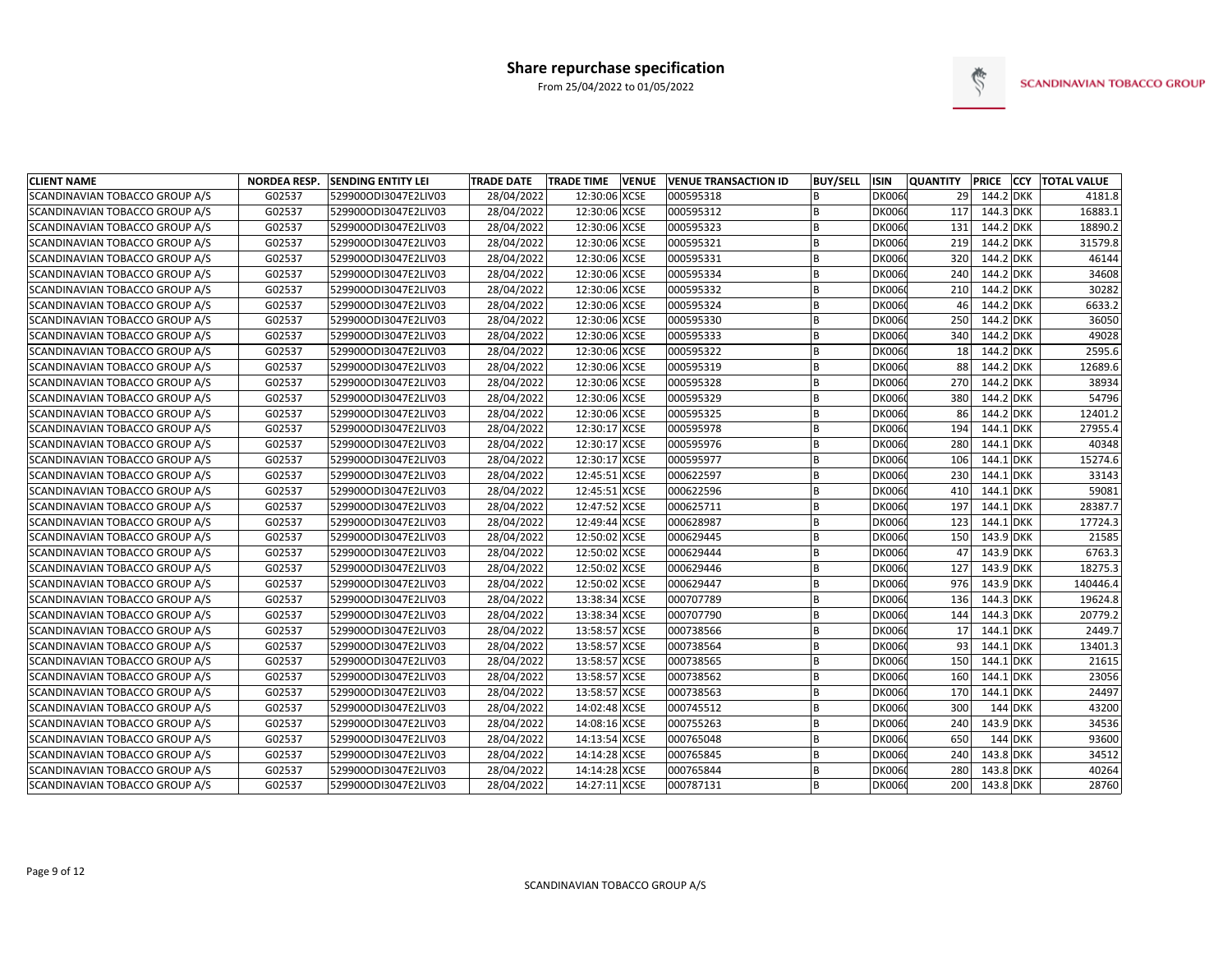

| <b>CLIENT NAME</b>             | <b>NORDEA RESP.</b> | <b>SENDING ENTITY LEI</b> | <b>TRADE DATE</b> | <b>TRADE TIME</b> | <b>VENUE</b> | <b>VENUE TRANSACTION ID</b> | <b>BUY/SELL</b> | ISIN          | <b>QUANTITY</b> |           | PRICE CCY TOTAL VALUE |
|--------------------------------|---------------------|---------------------------|-------------------|-------------------|--------------|-----------------------------|-----------------|---------------|-----------------|-----------|-----------------------|
| SCANDINAVIAN TOBACCO GROUP A/S | G02537              | 529900ODI3047E2LIV03      | 28/04/2022        | 12:30:06 XCSE     |              | 000595318                   |                 | <b>DK0060</b> | 29              | 144.2 DKK | 4181.8                |
| SCANDINAVIAN TOBACCO GROUP A/S | G02537              | 529900ODI3047E2LIV03      | 28/04/2022        | 12:30:06 XCSE     |              | 000595312                   | B               | <b>DK0060</b> | 117             | 144.3 DKK | 16883.1               |
| SCANDINAVIAN TOBACCO GROUP A/S | G02537              | 529900ODI3047E2LIV03      | 28/04/2022        | 12:30:06 XCSE     |              | 000595323                   | B               | <b>DK0060</b> | 131             | 144.2 DKK | 18890.2               |
| SCANDINAVIAN TOBACCO GROUP A/S | G02537              | 529900ODI3047E2LIV03      | 28/04/2022        | 12:30:06 XCSE     |              | 000595321                   | B               | <b>DK0060</b> | 219             | 144.2 DKK | 31579.8               |
| SCANDINAVIAN TOBACCO GROUP A/S | G02537              | 529900ODI3047E2LIV03      | 28/04/2022        | 12:30:06 XCSE     |              | 000595331                   | B               | <b>DK0060</b> | 320             | 144.2 DKK | 46144                 |
| SCANDINAVIAN TOBACCO GROUP A/S | G02537              | 529900ODI3047E2LIV03      | 28/04/2022        | 12:30:06 XCSE     |              | 000595334                   | <b>B</b>        | <b>DK0060</b> | 240             | 144.2 DKK | 34608                 |
| SCANDINAVIAN TOBACCO GROUP A/S | G02537              | 529900ODI3047E2LIV03      | 28/04/2022        | 12:30:06 XCSE     |              | 000595332                   | B               | <b>DK0060</b> | 210             | 144.2 DKK | 30282                 |
| SCANDINAVIAN TOBACCO GROUP A/S | G02537              | 529900ODI3047E2LIV03      | 28/04/2022        | 12:30:06 XCSE     |              | 000595324                   | B               | <b>DK0060</b> | 46              | 144.2 DKK | 6633.2                |
| SCANDINAVIAN TOBACCO GROUP A/S | G02537              | 529900ODI3047E2LIV03      | 28/04/2022        | 12:30:06 XCSE     |              | 000595330                   | B               | <b>DK0060</b> | 250             | 144.2 DKK | 36050                 |
| SCANDINAVIAN TOBACCO GROUP A/S | G02537              | 529900ODI3047E2LIV03      | 28/04/2022        | 12:30:06 XCSE     |              | 000595333                   | B               | <b>DK0060</b> | 340             | 144.2 DKK | 49028                 |
| SCANDINAVIAN TOBACCO GROUP A/S | G02537              | 529900ODI3047E2LIV03      | 28/04/2022        | 12:30:06 XCSE     |              | 000595322                   | B               | <b>DK0060</b> | 18              | 144.2 DKK | 2595.6                |
| SCANDINAVIAN TOBACCO GROUP A/S | G02537              | 529900ODI3047E2LIV03      | 28/04/2022        | 12:30:06 XCSE     |              | 000595319                   | B               | <b>DK0060</b> | 88              | 144.2 DKK | 12689.6               |
| SCANDINAVIAN TOBACCO GROUP A/S | G02537              | 529900ODI3047E2LIV03      | 28/04/2022        | 12:30:06 XCSE     |              | 000595328                   | B               | <b>DK0060</b> | 270             | 144.2 DKK | 38934                 |
| SCANDINAVIAN TOBACCO GROUP A/S | G02537              | 529900ODI3047E2LIV03      | 28/04/2022        | 12:30:06 XCSE     |              | 000595329                   | B               | <b>DK0060</b> | 380             | 144.2 DKK | 54796                 |
| SCANDINAVIAN TOBACCO GROUP A/S | G02537              | 529900ODI3047E2LIV03      | 28/04/2022        | 12:30:06 XCSE     |              | 000595325                   | B               | <b>DK0060</b> | 86              | 144.2 DKK | 12401.2               |
| SCANDINAVIAN TOBACCO GROUP A/S | G02537              | 529900ODI3047E2LIV03      | 28/04/2022        | 12:30:17 XCSE     |              | 000595978                   | B               | <b>DK0060</b> | 194             | 144.1 DKK | 27955.4               |
| SCANDINAVIAN TOBACCO GROUP A/S | G02537              | 529900ODI3047E2LIV03      | 28/04/2022        | 12:30:17 XCSE     |              | 000595976                   | B               | <b>DK0060</b> | 280             | 144.1 DKK | 40348                 |
| SCANDINAVIAN TOBACCO GROUP A/S | G02537              | 529900ODI3047E2LIV03      | 28/04/2022        | 12:30:17 XCSE     |              | 000595977                   | B               | <b>DK0060</b> | 106             | 144.1 DKK | 15274.6               |
| SCANDINAVIAN TOBACCO GROUP A/S | G02537              | 529900ODI3047E2LIV03      | 28/04/2022        | 12:45:51 XCSE     |              | 000622597                   | B               | <b>DK0060</b> | 230             | 144.1 DKK | 33143                 |
| SCANDINAVIAN TOBACCO GROUP A/S | G02537              | 529900ODI3047E2LIV03      | 28/04/2022        | 12:45:51 XCSE     |              | 000622596                   | B               | <b>DK0060</b> | 410             | 144.1 DKK | 59081                 |
| SCANDINAVIAN TOBACCO GROUP A/S | G02537              | 529900ODI3047E2LIV03      | 28/04/2022        | 12:47:52 XCSE     |              | 000625711                   | B               | <b>DK0060</b> | 197             | 144.1 DKK | 28387.7               |
| SCANDINAVIAN TOBACCO GROUP A/S | G02537              | 529900ODI3047E2LIV03      | 28/04/2022        | 12:49:44 XCSE     |              | 000628987                   |                 | <b>DK0060</b> | 123             | 144.1 DKK | 17724.3               |
| SCANDINAVIAN TOBACCO GROUP A/S | G02537              | 529900ODI3047E2LIV03      | 28/04/2022        | 12:50:02 XCSE     |              | 000629445                   |                 | <b>DK0060</b> | 150             | 143.9 DKK | 21585                 |
| SCANDINAVIAN TOBACCO GROUP A/S | G02537              | 529900ODI3047E2LIV03      | 28/04/2022        | 12:50:02 XCSE     |              | 000629444                   | <b>B</b>        | <b>DK0060</b> | 47              | 143.9 DKK | 6763.3                |
| SCANDINAVIAN TOBACCO GROUP A/S | G02537              | 529900ODI3047E2LIV03      | 28/04/2022        | 12:50:02 XCSE     |              | 000629446                   | B               | <b>DK0060</b> | 127             | 143.9 DKK | 18275.3               |
| SCANDINAVIAN TOBACCO GROUP A/S | G02537              | 529900ODI3047E2LIV03      | 28/04/2022        | 12:50:02 XCSE     |              | 000629447                   | B               | <b>DK0060</b> | 976             | 143.9 DKK | 140446.4              |
| SCANDINAVIAN TOBACCO GROUP A/S | G02537              | 529900ODI3047E2LIV03      | 28/04/2022        | 13:38:34 XCSE     |              | 000707789                   | B               | <b>DK0060</b> | 136             | 144.3 DKK | 19624.8               |
| SCANDINAVIAN TOBACCO GROUP A/S | G02537              | 529900ODI3047E2LIV03      | 28/04/2022        | 13:38:34 XCSE     |              | 000707790                   | B               | <b>DK0060</b> | 144             | 144.3 DKK | 20779.2               |
| SCANDINAVIAN TOBACCO GROUP A/S | G02537              | 529900ODI3047E2LIV03      | 28/04/2022        | 13:58:57 XCSE     |              | 000738566                   | B               | <b>DK0060</b> | 17              | 144.1 DKK | 2449.7                |
| SCANDINAVIAN TOBACCO GROUP A/S | G02537              | 529900ODI3047E2LIV03      | 28/04/2022        | 13:58:57 XCSE     |              | 000738564                   | B               | <b>DK0060</b> | 93              | 144.1 DKK | 13401.3               |
| SCANDINAVIAN TOBACCO GROUP A/S | G02537              | 529900ODI3047E2LIV03      | 28/04/2022        | 13:58:57 XCSE     |              | 000738565                   | <sub>B</sub>    | <b>DK0060</b> | 150             | 144.1 DKK | 21615                 |
| SCANDINAVIAN TOBACCO GROUP A/S | G02537              | 529900ODI3047E2LIV03      | 28/04/2022        | 13:58:57 XCSE     |              | 000738562                   | B               | <b>DK0060</b> | 160             | 144.1 DKK | 23056                 |
| SCANDINAVIAN TOBACCO GROUP A/S | G02537              | 529900ODI3047E2LIV03      | 28/04/2022        | 13:58:57 XCSE     |              | 000738563                   | B               | <b>DK0060</b> | 170             | 144.1 DKK | 24497                 |
| SCANDINAVIAN TOBACCO GROUP A/S | G02537              | 529900ODI3047E2LIV03      | 28/04/2022        | 14:02:48 XCSE     |              | 000745512                   | B               | <b>DK0060</b> | 300             | 144 DKK   | 43200                 |
| SCANDINAVIAN TOBACCO GROUP A/S | G02537              | 529900ODI3047E2LIV03      | 28/04/2022        | 14:08:16 XCSE     |              | 000755263                   | B               | <b>DK0060</b> | 240             | 143.9 DKK | 34536                 |
| SCANDINAVIAN TOBACCO GROUP A/S | G02537              | 529900ODI3047E2LIV03      | 28/04/2022        | 14:13:54 XCSE     |              | 000765048                   | B               | <b>DK0060</b> | 650             | 144 DKK   | 93600                 |
| SCANDINAVIAN TOBACCO GROUP A/S | G02537              | 529900ODI3047E2LIV03      | 28/04/2022        | 14:14:28 XCSE     |              | 000765845                   | B               | <b>DK0060</b> | 240             | 143.8 DKK | 34512                 |
| SCANDINAVIAN TOBACCO GROUP A/S | G02537              | 529900ODI3047E2LIV03      | 28/04/2022        | 14:14:28 XCSE     |              | 000765844                   | B               | <b>DK0060</b> | 280             | 143.8 DKK | 40264                 |
| SCANDINAVIAN TOBACCO GROUP A/S | G02537              | 529900ODI3047E2LIV03      | 28/04/2022        | 14:27:11 XCSE     |              | 000787131                   |                 | <b>DK0060</b> | 200             | 143.8 DKK | 28760                 |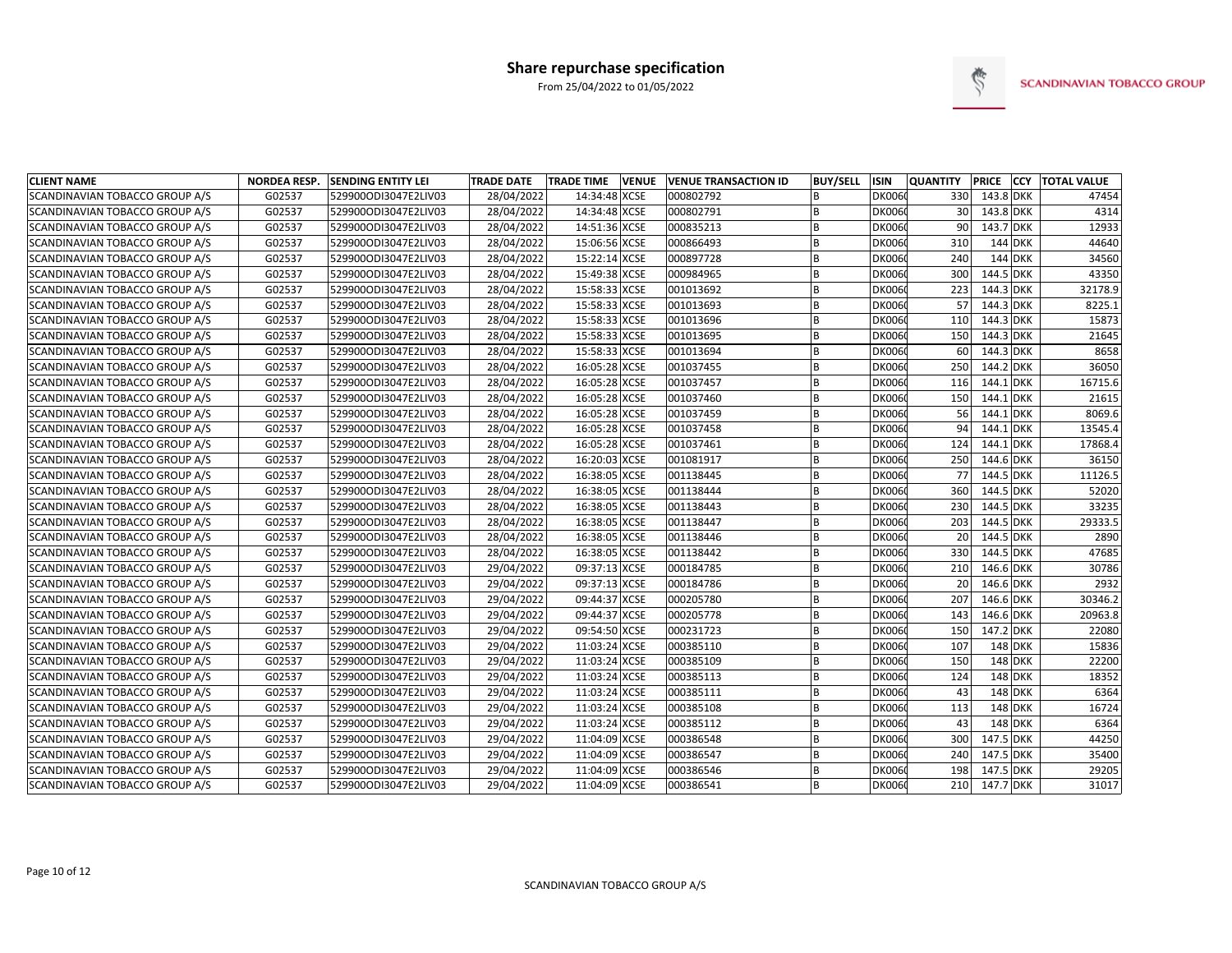

| <b>CLIENT NAME</b>                    | <b>NORDEA RESP.</b> | <b>SENDING ENTITY LEI</b> | <b>TRADE DATE</b> | <b>TRADE TIME</b> | <b>VENUE</b> | <b>VENUE TRANSACTION ID</b> | <b>BUY/SELL</b> | ISIN          | <b>QUANTITY</b> | <b>PRICE</b> | <b>CCY TOTAL VALUE</b> |
|---------------------------------------|---------------------|---------------------------|-------------------|-------------------|--------------|-----------------------------|-----------------|---------------|-----------------|--------------|------------------------|
| SCANDINAVIAN TOBACCO GROUP A/S        | G02537              | 529900ODI3047E2LIV03      | 28/04/2022        | 14:34:48 XCSE     |              | 000802792                   | <b>B</b>        | <b>DK0060</b> | 330             | 143.8 DKK    | 47454                  |
| SCANDINAVIAN TOBACCO GROUP A/S        | G02537              | 529900ODI3047E2LIV03      | 28/04/2022        | 14:34:48 XCSE     |              | 000802791                   | <b>B</b>        | <b>DK0060</b> | 30              | 143.8 DKK    | 4314                   |
| SCANDINAVIAN TOBACCO GROUP A/S        | G02537              | 529900ODI3047E2LIV03      | 28/04/2022        | 14:51:36 XCSE     |              | 000835213                   | <b>B</b>        | <b>DK0060</b> | 90              | 143.7 DKK    | 12933                  |
| SCANDINAVIAN TOBACCO GROUP A/S        | G02537              | 529900ODI3047E2LIV03      | 28/04/2022        | 15:06:56 XCSE     |              | 000866493                   | B               | <b>DK006</b>  | 310             | 144 DKK      | 44640                  |
| SCANDINAVIAN TOBACCO GROUP A/S        | G02537              | 529900ODI3047E2LIV03      | 28/04/2022        | 15:22:14 XCSE     |              | 000897728                   | <b>B</b>        | <b>DK006</b>  | 240             | 144 DKK      | 34560                  |
| SCANDINAVIAN TOBACCO GROUP A/S        | G02537              | 529900ODI3047E2LIV03      | 28/04/2022        | 15:49:38 XCSE     |              | 000984965                   |                 | <b>DK006</b>  | 300             | 144.5 DKK    | 43350                  |
| SCANDINAVIAN TOBACCO GROUP A/S        | G02537              | 529900ODI3047E2LIV03      | 28/04/2022        | 15:58:33 XCSE     |              | 001013692                   | <sub>B</sub>    | <b>DK006</b>  | 223             | 144.3 DKK    | 32178.9                |
| SCANDINAVIAN TOBACCO GROUP A/S        | G02537              | 529900ODI3047E2LIV03      | 28/04/2022        | 15:58:33 XCSE     |              | 001013693                   | <b>R</b>        | <b>DK006</b>  | 57              | 144.3 DKK    | 8225.1                 |
| SCANDINAVIAN TOBACCO GROUP A/S        | G02537              | 529900ODI3047E2LIV03      | 28/04/2022        | 15:58:33 XCSE     |              | 001013696                   | B               | <b>DK006</b>  | 110             | 144.3 DKK    | 15873                  |
| SCANDINAVIAN TOBACCO GROUP A/S        | G02537              | 529900ODI3047E2LIV03      | 28/04/2022        | 15:58:33 XCSE     |              | 001013695                   |                 | <b>DK006</b>  | 150             | 144.3 DKK    | 21645                  |
| SCANDINAVIAN TOBACCO GROUP A/S        | G02537              | 529900ODI3047E2LIV03      | 28/04/2022        | 15:58:33 XCSE     |              | 001013694                   | B               | <b>DK006</b>  | 60              | 144.3 DKK    | 8658                   |
| SCANDINAVIAN TOBACCO GROUP A/S        | G02537              | 529900ODI3047E2LIV03      | 28/04/2022        | 16:05:28 XCSE     |              | 001037455                   | <b>B</b>        | <b>DK006</b>  | 250             | 144.2 DKK    | 36050                  |
| SCANDINAVIAN TOBACCO GROUP A/S        | G02537              | 529900ODI3047E2LIV03      | 28/04/2022        | 16:05:28 XCSE     |              | 001037457                   |                 | <b>DK006</b>  | 116             | 144.1 DKK    | 16715.6                |
| SCANDINAVIAN TOBACCO GROUP A/S        | G02537              | 529900ODI3047E2LIV03      | 28/04/2022        | 16:05:28 XCSE     |              | 001037460                   | <b>B</b>        | <b>DK006</b>  | 150             | 144.1 DKK    | 21615                  |
| SCANDINAVIAN TOBACCO GROUP A/S        | G02537              | 529900ODI3047E2LIV03      | 28/04/2022        | 16:05:28 XCSE     |              | 001037459                   | <b>B</b>        | <b>DK006</b>  | 56              | 144.1 DKK    | 8069.6                 |
| SCANDINAVIAN TOBACCO GROUP A/S        | G02537              | 529900ODI3047E2LIV03      | 28/04/2022        | 16:05:28 XCSE     |              | 001037458                   | <sub>B</sub>    | <b>DK006</b>  | 94              | 144.1 DKK    | 13545.4                |
| SCANDINAVIAN TOBACCO GROUP A/S        | G02537              | 529900ODI3047E2LIV03      | 28/04/2022        | 16:05:28 XCSE     |              | 001037461                   | <b>B</b>        | <b>DK006</b>  | 124             | 144.1 DKK    | 17868.4                |
| SCANDINAVIAN TOBACCO GROUP A/S        | G02537              | 529900ODI3047E2LIV03      | 28/04/2022        | 16:20:03 XCSE     |              | 001081917                   | B               | <b>DK006</b>  | 250             | 144.6 DKK    | 36150                  |
| SCANDINAVIAN TOBACCO GROUP A/S        | G02537              | 529900ODI3047E2LIV03      | 28/04/2022        | 16:38:05 XCSE     |              | 001138445                   | B               | <b>DK006</b>  | 77              | 144.5 DKK    | 11126.5                |
| SCANDINAVIAN TOBACCO GROUP A/S        | G02537              | 529900ODI3047E2LIV03      | 28/04/2022        | 16:38:05 XCSE     |              | 001138444                   | <b>B</b>        | <b>DK006</b>  | 360             | 144.5 DKK    | 52020                  |
| SCANDINAVIAN TOBACCO GROUP A/S        | G02537              | 529900ODI3047E2LIV03      | 28/04/2022        | 16:38:05 XCSE     |              | 001138443                   | <b>B</b>        | <b>DK006</b>  | 230             | 144.5 DKK    | 33235                  |
| SCANDINAVIAN TOBACCO GROUP A/S        | G02537              | 529900ODI3047E2LIV03      | 28/04/2022        | 16:38:05 XCSE     |              | 001138447                   |                 | <b>DK006</b>  | 203             | 144.5 DKK    | 29333.5                |
| SCANDINAVIAN TOBACCO GROUP A/S        | G02537              | 529900ODI3047E2LIV03      | 28/04/2022        | 16:38:05 XCSE     |              | 001138446                   |                 | <b>DK006</b>  | 20              | 144.5 DKK    | 2890                   |
| SCANDINAVIAN TOBACCO GROUP A/S        | G02537              | 529900ODI3047E2LIV03      | 28/04/2022        | 16:38:05 XCSE     |              | 001138442                   | <b>R</b>        | <b>DK006</b>  | 330             | 144.5 DKK    | 47685                  |
| SCANDINAVIAN TOBACCO GROUP A/S        | G02537              | 529900ODI3047E2LIV03      | 29/04/2022        | 09:37:13 XCSE     |              | 000184785                   | B               | <b>DK006</b>  | 210             | 146.6 DKK    | 30786                  |
| SCANDINAVIAN TOBACCO GROUP A/S        | G02537              | 529900ODI3047E2LIV03      | 29/04/2022        | 09:37:13 XCSE     |              | 000184786                   | <b>B</b>        | <b>DK006</b>  | 20              | 146.6 DKK    | 2932                   |
| SCANDINAVIAN TOBACCO GROUP A/S        | G02537              | 529900ODI3047E2LIV03      | 29/04/2022        | 09:44:37 XCSE     |              | 000205780                   | B               | <b>DK006</b>  | 207             | 146.6 DKK    | 30346.2                |
| SCANDINAVIAN TOBACCO GROUP A/S        | G02537              | 529900ODI3047E2LIV03      | 29/04/2022        | 09:44:37 XCSE     |              | 000205778                   | <b>B</b>        | <b>DK006</b>  | 143             | 146.6 DKK    | 20963.8                |
| SCANDINAVIAN TOBACCO GROUP A/S        | G02537              | 529900ODI3047E2LIV03      | 29/04/2022        | 09:54:50 XCSE     |              | 000231723                   | <b>B</b>        | <b>DK006</b>  | 150             | 147.2 DKK    | 22080                  |
| SCANDINAVIAN TOBACCO GROUP A/S        | G02537              | 529900ODI3047E2LIV03      | 29/04/2022        | 11:03:24 XCSE     |              | 000385110                   | B               | <b>DK006</b>  | 107             | 148 DKK      | 15836                  |
| SCANDINAVIAN TOBACCO GROUP A/S        | G02537              | 529900ODI3047E2LIV03      | 29/04/2022        | 11:03:24 XCSE     |              | 000385109                   |                 | <b>DK006</b>  | 150             | 148 DKK      | 22200                  |
| <b>SCANDINAVIAN TOBACCO GROUP A/S</b> | G02537              | 529900ODI3047E2LIV03      | 29/04/2022        | 11:03:24 XCSE     |              | 000385113                   | <sub>B</sub>    | <b>DK006</b>  | 124             | 148 DKK      | 18352                  |
| SCANDINAVIAN TOBACCO GROUP A/S        | G02537              | 529900ODI3047E2LIV03      | 29/04/2022        | 11:03:24 XCSE     |              | 000385111                   |                 | <b>DK006</b>  | 43              | 148 DKK      | 6364                   |
| SCANDINAVIAN TOBACCO GROUP A/S        | G02537              | 529900ODI3047E2LIV03      | 29/04/2022        | 11:03:24 XCSE     |              | 000385108                   | B               | <b>DK006</b>  | 113             | 148 DKK      | 16724                  |
| SCANDINAVIAN TOBACCO GROUP A/S        | G02537              | 529900ODI3047E2LIV03      | 29/04/2022        | 11:03:24 XCSE     |              | 000385112                   | <b>B</b>        | <b>DK006</b>  | 43              | 148 DKK      | 6364                   |
| SCANDINAVIAN TOBACCO GROUP A/S        | G02537              | 529900ODI3047E2LIV03      | 29/04/2022        | 11:04:09 XCSE     |              | 000386548                   | <b>B</b>        | <b>DK006</b>  | 300             | 147.5 DKK    | 44250                  |
| SCANDINAVIAN TOBACCO GROUP A/S        | G02537              | 529900ODI3047E2LIV03      | 29/04/2022        | 11:04:09 XCSE     |              | 000386547                   | B               | <b>DK006</b>  | 240             | 147.5 DKK    | 35400                  |
| SCANDINAVIAN TOBACCO GROUP A/S        | G02537              | 529900ODI3047E2LIV03      | 29/04/2022        | 11:04:09 XCSE     |              | 000386546                   |                 | <b>DK006</b>  | 198             | 147.5 DKK    | 29205                  |
| SCANDINAVIAN TOBACCO GROUP A/S        | G02537              | 529900ODI3047E2LIV03      | 29/04/2022        | 11:04:09 XCSE     |              | 000386541                   |                 | <b>DK0060</b> | 210             | 147.7 DKK    | 31017                  |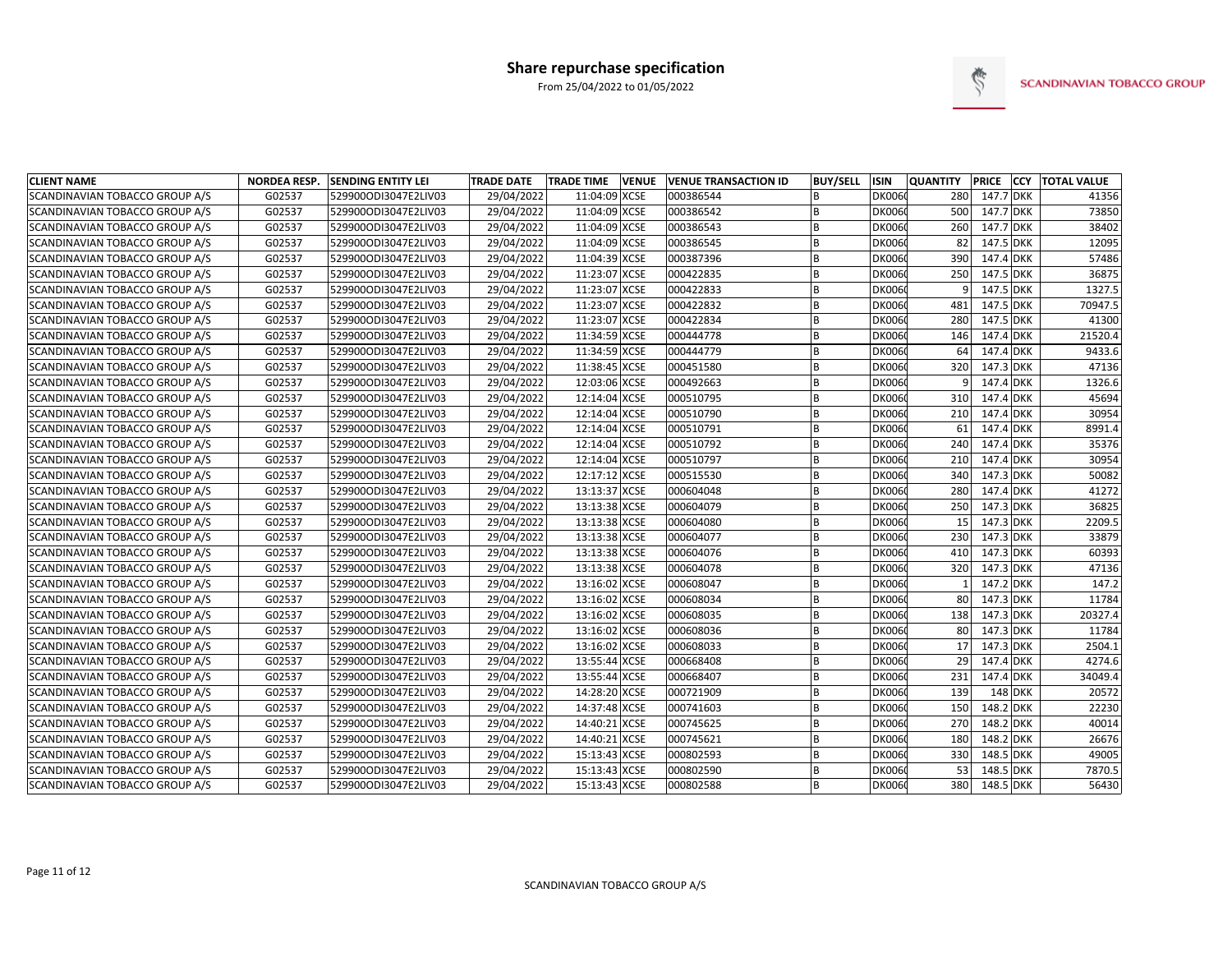

| <b>CLIENT NAME</b>             | <b>NORDEA RESP.</b> | <b>SENDING ENTITY LEI</b> | <b>TRADE DATE</b> | <b>TRADE TIME</b> | <b>VENUE</b> | VENUE TRANSACTION ID | <b>BUY/SELL</b> | <b>ISIN</b>   | <b>QUANTITY</b> |           | PRICE CCY TOTAL VALUE |
|--------------------------------|---------------------|---------------------------|-------------------|-------------------|--------------|----------------------|-----------------|---------------|-----------------|-----------|-----------------------|
| SCANDINAVIAN TOBACCO GROUP A/S | G02537              | 529900ODI3047E2LIV03      | 29/04/2022        | 11:04:09 XCSE     |              | 000386544            |                 | <b>DK0060</b> | 280             | 147.7 DKK | 41356                 |
| SCANDINAVIAN TOBACCO GROUP A/S | G02537              | 529900ODI3047E2LIV03      | 29/04/2022        | 11:04:09 XCSE     |              | 000386542            | <b>B</b>        | <b>DK0060</b> | 500             | 147.7 DKK | 73850                 |
| SCANDINAVIAN TOBACCO GROUP A/S | G02537              | 529900ODI3047E2LIV03      | 29/04/2022        | 11:04:09 XCSE     |              | 000386543            | <b>B</b>        | <b>DK006</b>  | 260             | 147.7 DKK | 38402                 |
| SCANDINAVIAN TOBACCO GROUP A/S | G02537              | 529900ODI3047E2LIV03      | 29/04/2022        | 11:04:09 XCSE     |              | 000386545            | B               | <b>DK006</b>  | 82              | 147.5 DKK | 12095                 |
| SCANDINAVIAN TOBACCO GROUP A/S | G02537              | 529900ODI3047E2LIV03      | 29/04/2022        | 11:04:39 XCSE     |              | 000387396            |                 | <b>DK006</b>  | 390             | 147.4 DKK | 57486                 |
| SCANDINAVIAN TOBACCO GROUP A/S | G02537              | 529900ODI3047E2LIV03      | 29/04/2022        | 11:23:07 XCSE     |              | 000422835            |                 | <b>DK006</b>  | 250             | 147.5 DKK | 36875                 |
| SCANDINAVIAN TOBACCO GROUP A/S | G02537              | 529900ODI3047E2LIV03      | 29/04/2022        | 11:23:07 XCSE     |              | 000422833            |                 | <b>DK006</b>  |                 | 147.5 DKK | 1327.5                |
| SCANDINAVIAN TOBACCO GROUP A/S | G02537              | 529900ODI3047E2LIV03      | 29/04/2022        | 11:23:07 XCSE     |              | 000422832            | <sub>B</sub>    | <b>DK006</b>  | 481             | 147.5 DKK | 70947.5               |
| SCANDINAVIAN TOBACCO GROUP A/S | G02537              | 529900ODI3047E2LIV03      | 29/04/2022        | 11:23:07 XCSE     |              | 000422834            |                 | <b>DK006</b>  | 280             | 147.5 DKK | 41300                 |
| SCANDINAVIAN TOBACCO GROUP A/S | G02537              | 529900ODI3047E2LIV03      | 29/04/2022        | 11:34:59 XCSE     |              | 000444778            |                 | DK006         | 146             | 147.4 DKK | 21520.4               |
| SCANDINAVIAN TOBACCO GROUP A/S | G02537              | 529900ODI3047E2LIV03      | 29/04/2022        | 11:34:59 XCSE     |              | 000444779            | <b>B</b>        | <b>DK006</b>  | 64              | 147.4 DKK | 9433.6                |
| SCANDINAVIAN TOBACCO GROUP A/S | G02537              | 529900ODI3047E2LIV03      | 29/04/2022        | 11:38:45 XCSE     |              | 000451580            | B               | <b>DK006</b>  | 320             | 147.3 DKK | 47136                 |
| SCANDINAVIAN TOBACCO GROUP A/S | G02537              | 529900ODI3047E2LIV03      | 29/04/2022        | 12:03:06 XCSE     |              | 000492663            | <b>B</b>        | <b>DK006</b>  | q               | 147.4 DKK | 1326.6                |
| SCANDINAVIAN TOBACCO GROUP A/S | G02537              | 529900ODI3047E2LIV03      | 29/04/2022        | 12:14:04 XCSE     |              | 000510795            | B               | <b>DK006</b>  | 310             | 147.4 DKK | 45694                 |
| SCANDINAVIAN TOBACCO GROUP A/S | G02537              | 529900ODI3047E2LIV03      | 29/04/2022        | 12:14:04 XCSE     |              | 000510790            |                 | <b>DK006</b>  | 210             | 147.4 DKK | 30954                 |
| SCANDINAVIAN TOBACCO GROUP A/S | G02537              | 529900ODI3047E2LIV03      | 29/04/2022        | 12:14:04 XCSE     |              | 000510791            | <sub>B</sub>    | <b>DK006</b>  | 61              | 147.4 DKK | 8991.4                |
| SCANDINAVIAN TOBACCO GROUP A/S | G02537              | 529900ODI3047E2LIV03      | 29/04/2022        | 12:14:04 XCSE     |              | 000510792            | <b>B</b>        | <b>DK006</b>  | 240             | 147.4 DKK | 35376                 |
| SCANDINAVIAN TOBACCO GROUP A/S | G02537              | 529900ODI3047E2LIV03      | 29/04/2022        | 12:14:04 XCSE     |              | 000510797            | <sub>B</sub>    | <b>DK006</b>  | 210             | 147.4 DKK | 30954                 |
| SCANDINAVIAN TOBACCO GROUP A/S | G02537              | 529900ODI3047E2LIV03      | 29/04/2022        | 12:17:12 XCSE     |              | 000515530            | <b>B</b>        | <b>DK006</b>  | 340             | 147.3 DKK | 50082                 |
| SCANDINAVIAN TOBACCO GROUP A/S | G02537              | 529900ODI3047E2LIV03      | 29/04/2022        | 13:13:37 XCSE     |              | 000604048            | <b>B</b>        | <b>DK006</b>  | 280             | 147.4 DKK | 41272                 |
| SCANDINAVIAN TOBACCO GROUP A/S | G02537              | 529900ODI3047E2LIV03      | 29/04/2022        | 13:13:38 XCSE     |              | 000604079            | <b>B</b>        | <b>DK006</b>  | 250             | 147.3 DKK | 36825                 |
| SCANDINAVIAN TOBACCO GROUP A/S | G02537              | 529900ODI3047E2LIV03      | 29/04/2022        | 13:13:38 XCSE     |              | 000604080            |                 | <b>DK006</b>  | 15              | 147.3 DKK | 2209.5                |
| SCANDINAVIAN TOBACCO GROUP A/S | G02537              | 529900ODI3047E2LIV03      | 29/04/2022        | 13:13:38 XCSE     |              | 000604077            |                 | <b>DK006</b>  | 230             | 147.3 DKK | 33879                 |
| SCANDINAVIAN TOBACCO GROUP A/S | G02537              | 529900ODI3047E2LIV03      | 29/04/2022        | 13:13:38 XCSE     |              | 000604076            | <b>R</b>        | <b>DK006</b>  | 410             | 147.3 DKK | 60393                 |
| SCANDINAVIAN TOBACCO GROUP A/S | G02537              | 529900ODI3047E2LIV03      | 29/04/2022        | 13:13:38 XCSE     |              | 000604078            | <b>B</b>        | <b>DK006</b>  | 320             | 147.3 DKK | 47136                 |
| SCANDINAVIAN TOBACCO GROUP A/S | G02537              | 529900ODI3047E2LIV03      | 29/04/2022        | 13:16:02 XCSE     |              | 000608047            | <b>B</b>        | <b>DK006</b>  |                 | 147.2 DKK | 147.2                 |
| SCANDINAVIAN TOBACCO GROUP A/S | G02537              | 529900ODI3047E2LIV03      | 29/04/2022        | 13:16:02 XCSE     |              | 000608034            |                 | <b>DK006</b>  | 80              | 147.3 DKK | 11784                 |
| SCANDINAVIAN TOBACCO GROUP A/S | G02537              | 529900ODI3047E2LIV03      | 29/04/2022        | 13:16:02 XCSE     |              | 000608035            | <b>B</b>        | <b>DK006</b>  | 138             | 147.3 DKK | 20327.4               |
| SCANDINAVIAN TOBACCO GROUP A/S | G02537              | 529900ODI3047E2LIV03      | 29/04/2022        | 13:16:02 XCSE     |              | 000608036            | B               | <b>DK006</b>  | 80              | 147.3 DKK | 11784                 |
| SCANDINAVIAN TOBACCO GROUP A/S | G02537              | 529900ODI3047E2LIV03      | 29/04/2022        | 13:16:02 XCSE     |              | 000608033            | <b>B</b>        | <b>DK006</b>  | 17              | 147.3 DKK | 2504.1                |
| SCANDINAVIAN TOBACCO GROUP A/S | G02537              | 529900ODI3047E2LIV03      | 29/04/2022        | 13:55:44 XCSE     |              | 000668408            |                 | <b>DK0060</b> | 29              | 147.4 DKK | 4274.6                |
| SCANDINAVIAN TOBACCO GROUP A/S | G02537              | 529900ODI3047E2LIV03      | 29/04/2022        | 13:55:44 XCSE     |              | 000668407            | <b>B</b>        | <b>DK006</b>  | 231             | 147.4 DKK | 34049.4               |
| SCANDINAVIAN TOBACCO GROUP A/S | G02537              | 529900ODI3047E2LIV03      | 29/04/2022        | 14:28:20 XCSE     |              | 000721909            | B               | <b>DK006</b>  | 139             | 148 DKK   | 20572                 |
| SCANDINAVIAN TOBACCO GROUP A/S | G02537              | 529900ODI3047E2LIV03      | 29/04/2022        | 14:37:48 XCSE     |              | 000741603            | <b>B</b>        | <b>DK006</b>  | 150             | 148.2 DKK | 22230                 |
| SCANDINAVIAN TOBACCO GROUP A/S | G02537              | 529900ODI3047E2LIV03      | 29/04/2022        | 14:40:21 XCSE     |              | 000745625            | B               | <b>DK006</b>  | 270             | 148.2 DKK | 40014                 |
| SCANDINAVIAN TOBACCO GROUP A/S | G02537              | 529900ODI3047E2LIV03      | 29/04/2022        | 14:40:21 XCSE     |              | 000745621            | <b>B</b>        | <b>DK006</b>  | 180             | 148.2 DKK | 26676                 |
| SCANDINAVIAN TOBACCO GROUP A/S | G02537              | 529900ODI3047E2LIV03      | 29/04/2022        | 15:13:43 XCSE     |              | 000802593            |                 | <b>DK006</b>  | 330             | 148.5 DKK | 49005                 |
| SCANDINAVIAN TOBACCO GROUP A/S | G02537              | 529900ODI3047E2LIV03      | 29/04/2022        | 15:13:43 XCSE     |              | 000802590            |                 | <b>DK006</b>  | 53              | 148.5 DKK | 7870.5                |
| SCANDINAVIAN TOBACCO GROUP A/S | G02537              | 529900ODI3047E2LIV03      | 29/04/2022        | 15:13:43 XCSE     |              | 000802588            |                 | <b>DK0060</b> | 380             | 148.5 DKK | 56430                 |